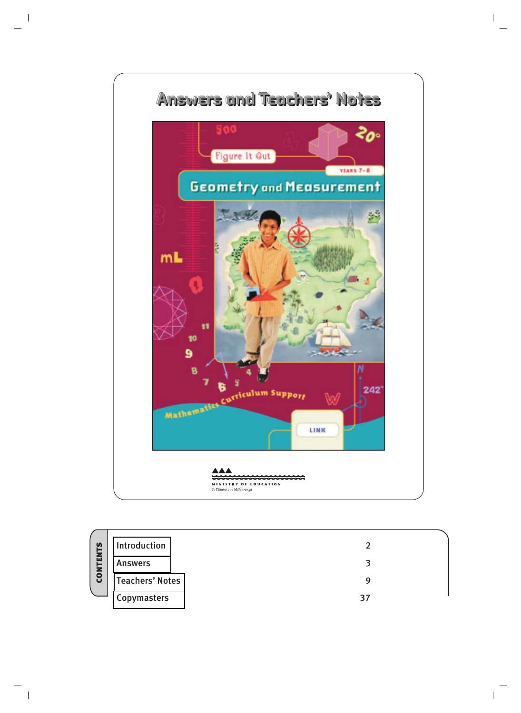

|              | Introduction           |    |  |
|--------------|------------------------|----|--|
| <b>TENTS</b> | <b>Answers</b>         | ิว |  |
| <b>CON</b>   | <b>Teachers' Notes</b> |    |  |
|              | Copymasters            | 37 |  |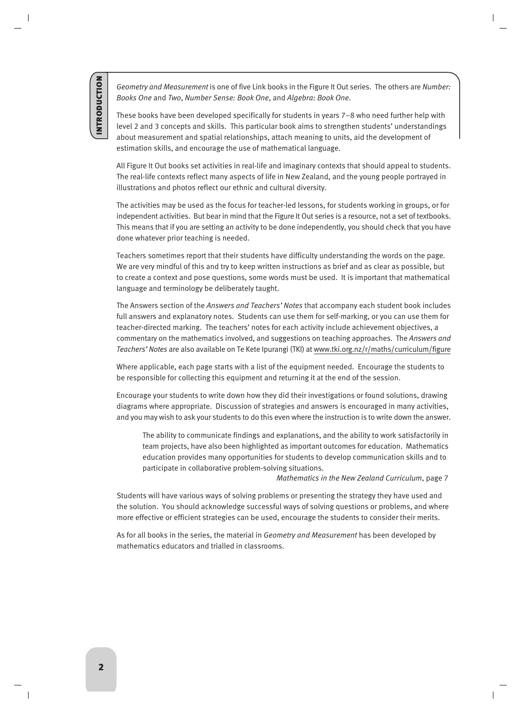<span id="page-1-0"></span>**INTRODUCTION** introduction

*Geometry and Measurement* is one of five Link books in the Figure It Out series. The others are *Number: Books One* and *Two*, *Number Sense: Book One*, and *Algebra: Book One*.

These books have been developed specifically for students in years 7–8 who need further help with level 2 and 3 concepts and skills. This particular book aims to strengthen students' understandings about measurement and spatial relationships, attach meaning to units, aid the development of estimation skills, and encourage the use of mathematical language.

All Figure It Out books set activities in real-life and imaginary contexts that should appeal to students. The real-life contexts reflect many aspects of life in New Zealand, and the young people portrayed in illustrations and photos reflect our ethnic and cultural diversity.

The activities may be used as the focus for teacher-led lessons, for students working in groups, or for independent activities. But bear in mind that the Figure It Out series is a resource, not a set of textbooks. This means that if you are setting an activity to be done independently, you should check that you have done whatever prior teaching is needed.

Teachers sometimes report that their students have difficulty understanding the words on the page. We are very mindful of this and try to keep written instructions as brief and as clear as possible, but to create a context and pose questions, some words must be used. It is important that mathematical language and terminology be deliberately taught.

The Answers section of the *Answers and Teachers' Notes* that accompany each student book includes full answers and explanatory notes. Students can use them for self-marking, or you can use them for teacher-directed marking. The teachers' notes for each activity include achievement objectives, a commentary on the mathematics involved, and suggestions on teaching approaches. The *Answers and Teachers' Notes* are also available on Te Kete Ipurangi (TKI) at www.tki.org.nz/r/maths/curriculum/figure

Where applicable, each page starts with a list of the equipment needed. Encourage the students to be responsible for collecting this equipment and returning it at the end of the session.

Encourage your students to write down how they did their investigations or found solutions, drawing diagrams where appropriate. Discussion of strategies and answers is encouraged in many activities, and you may wish to ask your students to do this even where the instruction is to write down the answer.

The ability to communicate findings and explanations, and the ability to work satisfactorily in team projects, have also been highlighted as important outcomes for education. Mathematics education provides many opportunities for students to develop communication skills and to participate in collaborative problem-solving situations.

*Mathematics in the New Zealand Curriculum*, page 7

Students will have various ways of solving problems or presenting the strategy they have used and the solution. You should acknowledge successful ways of solving questions or problems, and where more effective or efficient strategies can be used, encourage the students to consider their merits.

As for all books in the series, the material in *Geometry and Measurement* has been developed by mathematics educators and trialled in classrooms.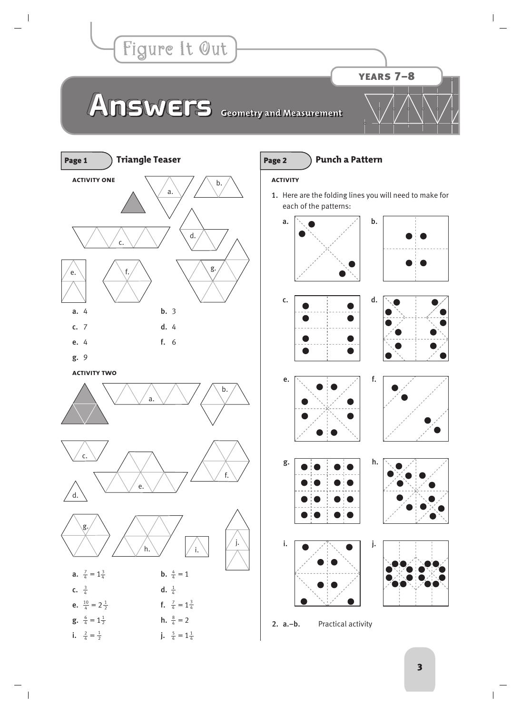<span id="page-2-0"></span>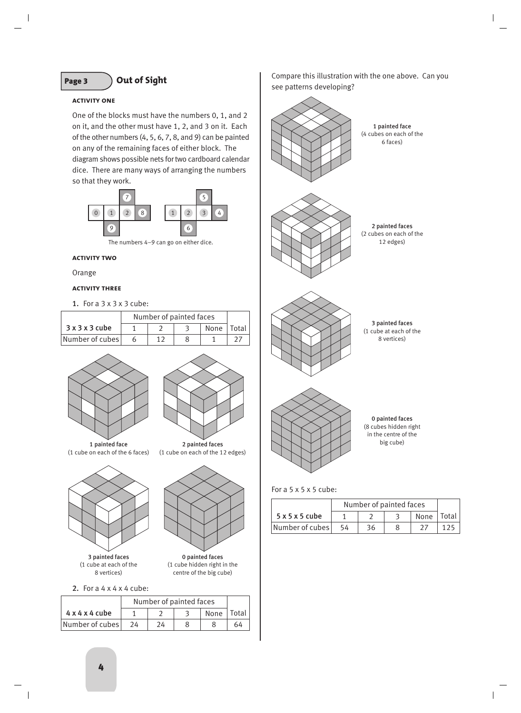# Page 3 **Out of Sight**

### **activity one**

One of the blocks must have the numbers 0, 1, and 2 on it, and the other must have 1, 2, and 3 on it. Each of the other numbers (4, 5, 6, 7, 8, and 9) can be painted on any of the remaining faces of either block. The diagram shows possible nets for two cardboard calendar dice. There are many ways of arranging the numbers so that they work.



The numbers 4–9 can go on either dice.

#### **activity two**

Orange

# **activity three**

1. For a 3 x 3 x 3 cube:

|                 | Number of painted faces |  |              |  |
|-----------------|-------------------------|--|--------------|--|
| 3x3x3cube       |                         |  | None   Total |  |
| Number of cubes |                         |  |              |  |





2 painted faces (1 cube on each of the 12 edges)

1 painted face (1 cube on each of the 6 faces)



3 painted faces (1 cube at each of the 8 vertices)



0 painted faces (1 cube hidden right in the centre of the big cube)

2. For a 4 x 4 x 4 cube:

|                            | Number of painted faces |    |      |       |
|----------------------------|-------------------------|----|------|-------|
| $4 \times 4 \times 4$ cube |                         |    | None | Total |
| Number of cubes            | 24                      | 24 |      | 64    |

Compare this illustration with the one above. Can you see patterns developing?



For a  $5 \times 5 \times 5$  cube:

|                 | Number of painted faces |    |      |                    |
|-----------------|-------------------------|----|------|--------------------|
| 5x5x5cube       |                         |    | None | <sup>1</sup> Total |
| Number of cubes | 54                      | 36 |      |                    |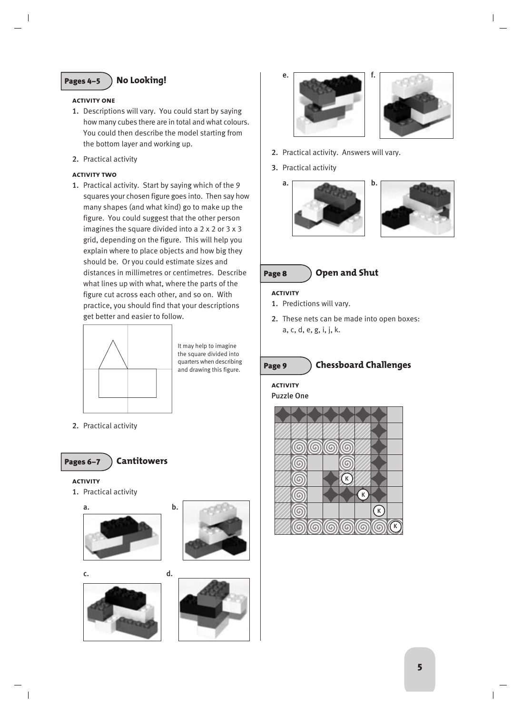# Pages 4–5 **No Looking!**

### **activity one**

- 1. Descriptions will vary. You could start by saying how many cubes there are in total and what colours. You could then describe the model starting from the bottom layer and working up.
- 2. Practical activity

# **activity two**

1. Practical activity. Start by saying which of the 9 squares your chosen figure goes into. Then say how many shapes (and what kind) go to make up the figure. You could suggest that the other person imagines the square divided into a 2 x 2 or 3 x 3 grid, depending on the figure. This will help you explain where to place objects and how big they should be. Or you could estimate sizes and distances in millimetres or centimetres. Describe what lines up with what, where the parts of the figure cut across each other, and so on. With practice, you should find that your descriptions get better and easier to follow.



It may help to imagine the square divided into quarters when describing and drawing this figure.

2. Practical activity



# **activity**

1. Practical activity





c. d.









- 2. Practical activity. Answers will vary.
- 3. Practical activity







### **activity**

- 1. Predictions will vary.
- 2. These nets can be made into open boxes: a, c, d, e, g, i, j, k.

# Page 9 **Chessboard Challenges**

**activity**



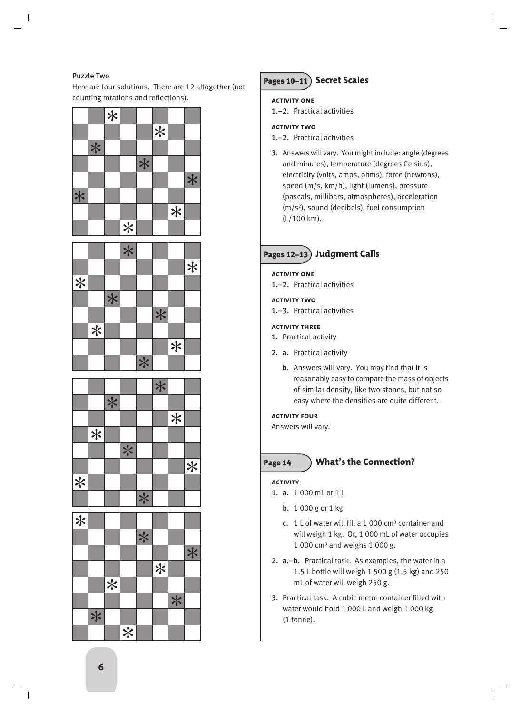# Puzzle Two

Here are four solutions. There are 12 altogether (not counting rotations and reflections).

|     |     | $*$ |     |     |     |     |     |
|-----|-----|-----|-----|-----|-----|-----|-----|
|     |     |     |     |     | $*$ |     |     |
|     | $*$ |     |     |     |     |     |     |
|     |     |     |     | $*$ |     |     |     |
|     |     |     |     |     |     |     | $*$ |
| $*$ |     |     |     |     |     |     |     |
|     |     |     |     |     |     | $*$ |     |
|     |     |     | $*$ |     |     |     |     |

|        |     |     | $\ast$ |        |     |                   |     |
|--------|-----|-----|--------|--------|-----|-------------------|-----|
|        |     |     |        |        |     |                   | $*$ |
| $\ast$ |     |     |        |        |     |                   |     |
|        |     | $*$ |        |        |     |                   |     |
|        |     |     |        |        | $*$ |                   |     |
|        | $*$ |     |        |        |     |                   |     |
|        |     |     |        |        |     | $\overline{\ast}$ |     |
|        |     |     |        | $\ast$ |     |                   |     |



| $\vert\ast\vert$ |     |     |     |     |     |     |      |
|------------------|-----|-----|-----|-----|-----|-----|------|
|                  |     |     |     | $*$ |     |     |      |
|                  |     |     |     |     |     |     | $* $ |
|                  |     |     |     |     | $*$ |     |      |
|                  |     | $*$ |     |     |     |     |      |
|                  |     |     |     |     |     | $*$ |      |
|                  | $*$ |     |     |     |     |     |      |
|                  |     |     | $*$ |     |     |     |      |

# Pages 10–11 **Secret Scales**

# **activity one**

1.–2. Practical activities

# **activity two**

- 1.–2. Practical activities
- 3. Answers will vary. You might include: angle (degrees and minutes), temperature (degrees Celsius), electricity (volts, amps, ohms), force (newtons), speed (m/s, km/h), light (lumens), pressure (pascals, millibars, atmospheres), acceleration (m/s2), sound (decibels), fuel consumption (L/100 km).

# Pages 12–13 **Judgment Calls**

# **activity one**

1.–2. Practical activities

# **activity two**

1.–3. Practical activities

# **activity three**

- 1. Practical activity
- 2. a. Practical activity
	- b. Answers will vary. You may find that it is reasonably easy to compare the mass of objects of similar density, like two stones, but not so easy where the densities are quite different.

# **activity four**

Answers will vary.

# Page 14 **What's the Connection?**

# **activity**

- 1. a. 1 000 mL or 1 L
	- b. 1 000 g or 1 kg
	- c. 1 L of water will fill a 1 000 cm3 container and will weigh 1 kg. Or, 1 000 mL of water occupies  $1000$  cm<sup>3</sup> and weighs  $1000$  g.
- 2. a.–b. Practical task. As examples, the water in a 1.5 L bottle will weigh 1 500 g (1.5 kg) and 250 mL of water will weigh 250 g.
- 3. Practical task. A cubic metre container filled with water would hold 1 000 L and weigh 1 000 kg (1 tonne).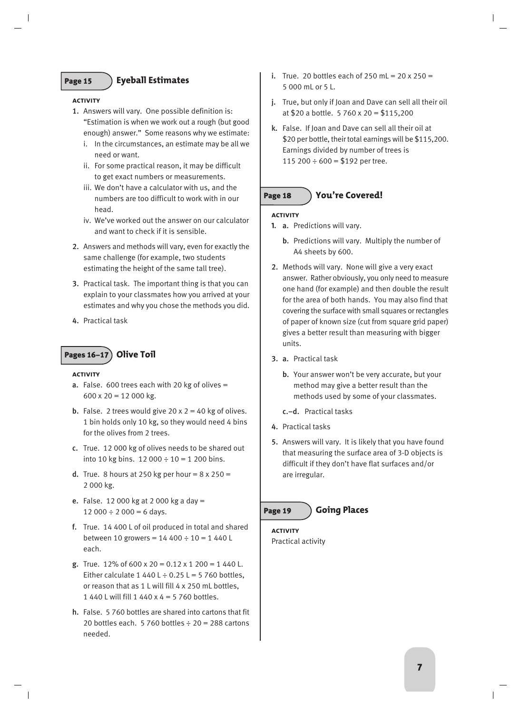# Page 15 **Eyeball Estimates**

#### **activity**

- 1. Answers will vary. One possible definition is: "Estimation is when we work out a rough (but good enough) answer." Some reasons why we estimate:
	- i. In the circumstances, an estimate may be all we need or want.
	- ii. For some practical reason, it may be difficult to get exact numbers or measurements.
	- iii. We don't have a calculator with us, and the numbers are too difficult to work with in our head.
	- iv. We've worked out the answer on our calculator and want to check if it is sensible.
- 2. Answers and methods will vary, even for exactly the same challenge (for example, two students estimating the height of the same tall tree).
- 3. Practical task. The important thing is that you can explain to your classmates how you arrived at your estimates and why you chose the methods you did.
- 4. Practical task

# Pages 16–17 **Olive Toil**

#### **activity**

- **a.** False. 600 trees each with 20 kg of olives  $=$  $600 \times 20 = 12000$  kg.
- **b.** False. 2 trees would give  $20 \times 2 = 40$  kg of olives. 1 bin holds only 10 kg, so they would need 4 bins for the olives from 2 trees.
- c. True. 12 000 kg of olives needs to be shared out into 10 kg bins.  $12\,000 \div 10 = 1\,200$  bins.
- **d.** True. 8 hours at 250 kg per hour =  $8 \times 250$  = 2 000 kg.
- e. False. 12 000 kg at 2 000 kg a day =  $12\,000 \div 2\,000 = 6$  days.
- f. True. 14 400 L of oil produced in total and shared between 10 growers =  $14400 \div 10 = 1440$  L each.
- g. True. 12% of 600 x 20 =  $0.12 \times 1200 = 1440$  L. Either calculate 1 440 L  $\div$  0.25 L = 5 760 bottles, or reason that as 1 L will fill 4 x 250 mL bottles, 1 440 L will fill 1 440 x 4 = 5 760 bottles.
- h. False. 5 760 bottles are shared into cartons that fit 20 bottles each. 5 760 bottles  $\div$  20 = 288 cartons needed.
- i. True. 20 bottles each of 250 mL =  $20 \times 250 =$ 5 000 mL or 5 L.
- j. True, but only if Joan and Dave can sell all their oil at \$20 a bottle. 5 760 x 20 = \$115,200
- k. False. If Joan and Dave can sell all their oil at \$20 per bottle, their total earnings will be \$115,200. Earnings divided by number of trees is 115 200  $\div$  600 = \$192 per tree.

# Page 18 **You're Covered!**

# **activity**

- **1.** a. Predictions will vary.
	- b. Predictions will vary. Multiply the number of A4 sheets by 600.
- 2. Methods will vary. None will give a very exact answer. Rather obviously, you only need to measure one hand (for example) and then double the result for the area of both hands. You may also find that covering the surface with small squares or rectangles of paper of known size (cut from square grid paper) gives a better result than measuring with bigger units.
- 3. a. Practical task
	- b. Your answer won't be very accurate, but your method may give a better result than the methods used by some of your classmates.
	- c.–d. Practical tasks
- 4. Practical tasks
- 5. Answers will vary. It is likely that you have found that measuring the surface area of 3-D objects is difficult if they don't have flat surfaces and/or are irregular.

# Page 19 **Going Places**

# **activity**

Practical activity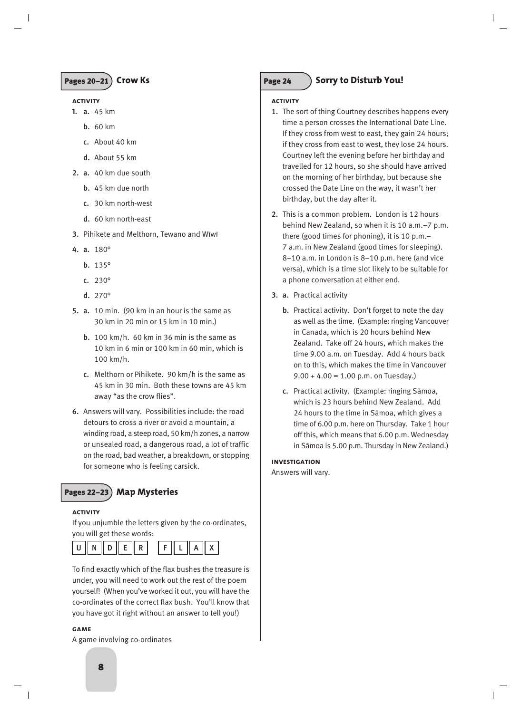

### **activity**

- **1.** a. 45 km
	- b. 60 km
	- c. About 40 km
	- d. About 55 km
- 2. a. 40 km due south
	- b. 45 km due north
	- c. 30 km north-west
	- d. 60 km north-east
- 3. Pihikete and Melthorn, Tewano and Wìwì
- 4. a. 180°
	- b. 135°
	- c. 230°
	- d. 270°
- 5. a. 10 min. (90 km in an hour is the same as 30 km in 20 min or 15 km in 10 min.)
	- b. 100 km/h. 60 km in 36 min is the same as 10 km in 6 min or 100 km in 60 min, which is 100 km/h.
	- c. Melthorn or Pihikete. 90 km/h is the same as 45 km in 30 min. Both these towns are 45 km away "as the crow flies".
- 6. Answers will vary. Possibilities include: the road detours to cross a river or avoid a mountain, a winding road, a steep road, 50 km/h zones, a narrow or unsealed road, a dangerous road, a lot of traffic on the road, bad weather, a breakdown, or stopping for someone who is feeling carsick.

# Pages 22–23 **Map Mysteries**

#### **activity**

If you unjumble the letters given by the co-ordinates, you will get these words:



To find exactly which of the flax bushes the treasure is under, you will need to work out the rest of the poem yourself! (When you've worked it out, you will have the co-ordinates of the correct flax bush. You'll know that you have got it right without an answer to tell you!)

#### **game**

A game involving co-ordinates

# Page 24 > Sorry to Disturb You!

# **activity**

- 1. The sort of thing Courtney describes happens every time a person crosses the International Date Line. If they cross from west to east, they gain 24 hours; if they cross from east to west, they lose 24 hours. Courtney left the evening before her birthday and travelled for 12 hours, so she should have arrived on the morning of her birthday, but because she crossed the Date Line on the way, it wasn't her birthday, but the day after it.
- 2. This is a common problem. London is 12 hours behind New Zealand, so when it is 10 a.m.–7 p.m. there (good times for phoning), it is 10 p.m.– 7 a.m. in New Zealand (good times for sleeping). 8–10 a.m. in London is 8–10 p.m. here (and vice versa), which is a time slot likely to be suitable for a phone conversation at either end.
- 3. a. Practical activity
	- b. Practical activity. Don't forget to note the day as well as the time. (Example: ringing Vancouver in Canada, which is 20 hours behind New Zealand. Take off 24 hours, which makes the time 9.00 a.m. on Tuesday. Add 4 hours back on to this, which makes the time in Vancouver  $9.00 + 4.00 = 1.00$  p.m. on Tuesday.)
	- c. Practical activity. (Example: ringing Sàmoa, which is 23 hours behind New Zealand. Add 24 hours to the time in Sàmoa, which gives a time of 6.00 p.m. here on Thursday. Take 1 hour off this, which means that 6.00 p.m. Wednesday in Sàmoa is 5.00 p.m. Thursday in New Zealand.)

### **investigation**

Answers will vary.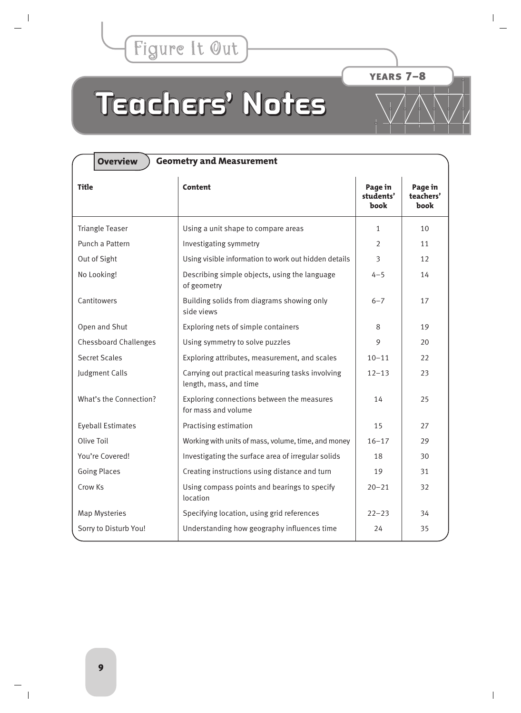<span id="page-8-0"></span>

years 7–8

# **Teachers' Notes Teachers' Notes eachers' Notes**

| <b>Overview</b><br><b>Geometry and Measurement</b> |                                                                            |                              |                              |  |  |  |  |
|----------------------------------------------------|----------------------------------------------------------------------------|------------------------------|------------------------------|--|--|--|--|
| <b>Title</b>                                       | Content                                                                    | Page in<br>students'<br>book | Page in<br>teachers'<br>book |  |  |  |  |
| <b>Triangle Teaser</b>                             | Using a unit shape to compare areas                                        | $\mathbf{1}$                 | 10 <sup>1</sup>              |  |  |  |  |
| Punch a Pattern                                    | Investigating symmetry                                                     | $\overline{2}$               | 11                           |  |  |  |  |
| Out of Sight                                       | Using visible information to work out hidden details                       | $\overline{3}$               | 12                           |  |  |  |  |
| No Looking!                                        | Describing simple objects, using the language<br>of geometry               | $4 - 5$                      | 14                           |  |  |  |  |
| Cantitowers                                        | Building solids from diagrams showing only<br>side views                   | $6 - 7$                      | 17                           |  |  |  |  |
| Open and Shut                                      | Exploring nets of simple containers                                        | 8                            | 19                           |  |  |  |  |
| <b>Chessboard Challenges</b>                       | Using symmetry to solve puzzles                                            | 9                            | 20                           |  |  |  |  |
| <b>Secret Scales</b>                               | Exploring attributes, measurement, and scales                              | $10 - 11$                    | 22                           |  |  |  |  |
| Judgment Calls                                     | Carrying out practical measuring tasks involving<br>length, mass, and time | $12 - 13$                    | 23                           |  |  |  |  |
| What's the Connection?                             | Exploring connections between the measures<br>for mass and volume          | 14                           | 25                           |  |  |  |  |
| <b>Eyeball Estimates</b>                           | Practising estimation                                                      | 15                           | 27                           |  |  |  |  |
| Olive Toil                                         | Working with units of mass, volume, time, and money                        | $16 - 17$                    | 29                           |  |  |  |  |
| You're Covered!                                    | Investigating the surface area of irregular solids                         | 18                           | 30                           |  |  |  |  |
| <b>Going Places</b>                                | Creating instructions using distance and turn                              | 19                           | 31                           |  |  |  |  |
| Crow Ks                                            | Using compass points and bearings to specify<br>location                   | $20 - 21$                    | 32                           |  |  |  |  |
| <b>Map Mysteries</b>                               | Specifying location, using grid references                                 | $22 - 23$                    | 34                           |  |  |  |  |
| Sorry to Disturb You!                              | Understanding how geography influences time                                | 24                           | 35                           |  |  |  |  |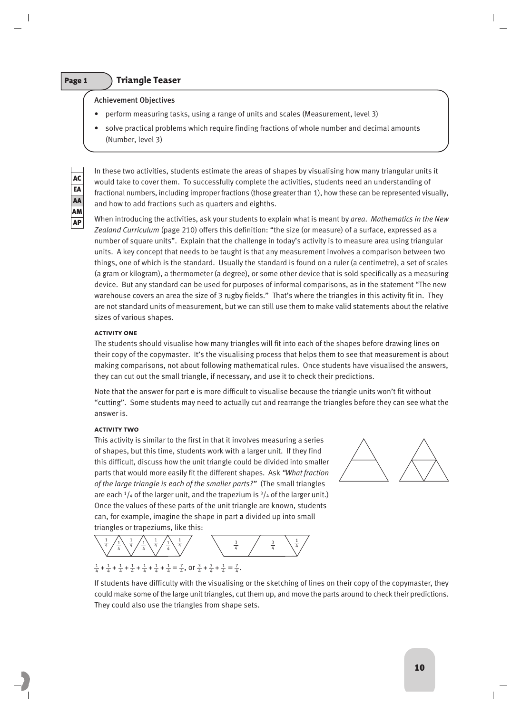# Page 1 **Triangle Teaser**

# Achievement Objectives

- perform measuring tasks, using a range of units and scales (Measurement, level 3)
- solve practical problems which require finding fractions of whole number and decimal amounts (Number, level 3)

AC EA AA AM AP

In these two activities, students estimate the areas of shapes by visualising how many triangular units it would take to cover them. To successfully complete the activities, students need an understanding of fractional numbers, including improper fractions (those greater than 1), how these can be represented visually, and how to add fractions such as quarters and eighths.

When introducing the activities, ask your students to explain what is meant by *area*. *Mathematics in the New Zealand Curriculum* (page 210) offers this definition: "the size (or measure) of a surface, expressed as a number of square units". Explain that the challenge in today's activity is to measure area using triangular units. A key concept that needs to be taught is that any measurement involves a comparison between two things, one of which is the standard. Usually the standard is found on a ruler (a centimetre), a set of scales (a gram or kilogram), a thermometer (a degree), or some other device that is sold specifically as a measuring device. But any standard can be used for purposes of informal comparisons, as in the statement "The new warehouse covers an area the size of 3 rugby fields." That's where the triangles in this activity fit in. They are not standard units of measurement, but we can still use them to make valid statements about the relative sizes of various shapes.

# **activity one**

The students should visualise how many triangles will fit into each of the shapes before drawing lines on their copy of the copymaster. It's the visualising process that helps them to see that measurement is about making comparisons, not about following mathematical rules. Once students have visualised the answers, they can cut out the small triangle, if necessary, and use it to check their predictions.

Note that the answer for part e is more difficult to visualise because the triangle units won't fit without "cutting". Some students may need to actually cut and rearrange the triangles before they can see what the answer is.

# **activity two**

This activity is similar to the first in that it involves measuring a series of shapes, but this time, students work with a larger unit. If they find this difficult, discuss how the unit triangle could be divided into smaller parts that would more easily fit the different shapes. Ask *"What fraction of the large triangle is each of the smaller parts?"* (The small triangles are each  $\frac{1}{4}$  of the larger unit, and the trapezium is  $\frac{3}{4}$  of the larger unit.) Once the values of these parts of the unit triangle are known, students can, for example, imagine the shape in part a divided up into small triangles or trapeziums, like this:

1 4 1 4 1 4 1  $\frac{1}{4}$   $\frac{1}{4}$   $\frac{1}{4}$   $\frac{1}{4}$   $\frac{1}{4}$ 4 1 4 1 4 1  $\frac{3}{4}$ 4 3 4  $\frac{1}{4} + \frac{1}{4} + \frac{1}{4} + \frac{1}{4} + \frac{1}{4} + \frac{1}{4} + \frac{1}{4} = \frac{7}{4}$ , or  $\frac{3}{4} + \frac{3}{4} + \frac{1}{4} = \frac{7}{4}$ .



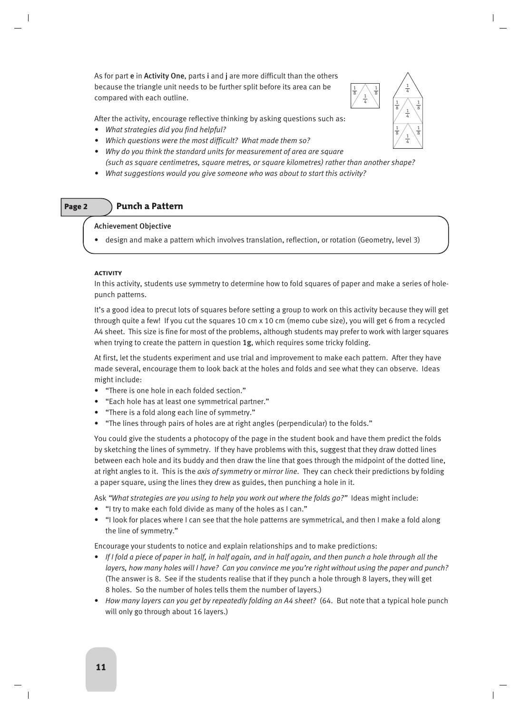As for part e in Activity One, parts i and j are more difficult than the others because the triangle unit needs to be further split before its area can be compared with each outline.

After the activity, encourage reflective thinking by asking questions such as:

- *What strategies did you find helpful?*
- *Which questions were the most difficult? What made them so?*
- *Why do you think the standard units for measurement of area are square (such as square centimetres, square metres, or square kilometres) rather than another shape?*
- *What suggestions would you give someone who was about to start this activity?*

# Page 2 **Punch a Pattern**

# Achievement Objective

• design and make a pattern which involves translation, reflection, or rotation (Geometry, level 3)

# **activity**

In this activity, students use symmetry to determine how to fold squares of paper and make a series of holepunch patterns.

It's a good idea to precut lots of squares before setting a group to work on this activity because they will get through quite a few! If you cut the squares 10 cm x 10 cm (memo cube size), you will get 6 from a recycled A4 sheet. This size is fine for most of the problems, although students may prefer to work with larger squares when trying to create the pattern in question 1g, which requires some tricky folding.

At first, let the students experiment and use trial and improvement to make each pattern. After they have made several, encourage them to look back at the holes and folds and see what they can observe. Ideas might include:

- "There is one hole in each folded section."
- "Each hole has at least one symmetrical partner."
- "There is a fold along each line of symmetry."
- "The lines through pairs of holes are at right angles (perpendicular) to the folds."

You could give the students a photocopy of the page in the student book and have them predict the folds by sketching the lines of symmetry. If they have problems with this, suggest that they draw dotted lines between each hole and its buddy and then draw the line that goes through the midpoint of the dotted line, at right angles to it. This is the *axis of symmetry* or *mirror line*. They can check their predictions by folding a paper square, using the lines they drew as guides, then punching a hole in it.

Ask *"What strategies are you using to help you work out where the folds go?"* Ideas might include:

- "I try to make each fold divide as many of the holes as I can."
- "I look for places where I can see that the hole patterns are symmetrical, and then I make a fold along the line of symmetry."

Encourage your students to notice and explain relationships and to make predictions:

- *If I fold a piece of paper in half, in half again, and in half again, and then punch a hole through all the layers, how many holes will I have? Can you convince me you're right without using the paper and punch?* (The answer is 8. See if the students realise that if they punch a hole through 8 layers, they will get 8 holes. So the number of holes tells them the number of layers.)
- *How many layers can you get by repeatedly folding an A4 sheet?* (64. But note that a typical hole punch will only go through about 16 layers.)



1 4

1 8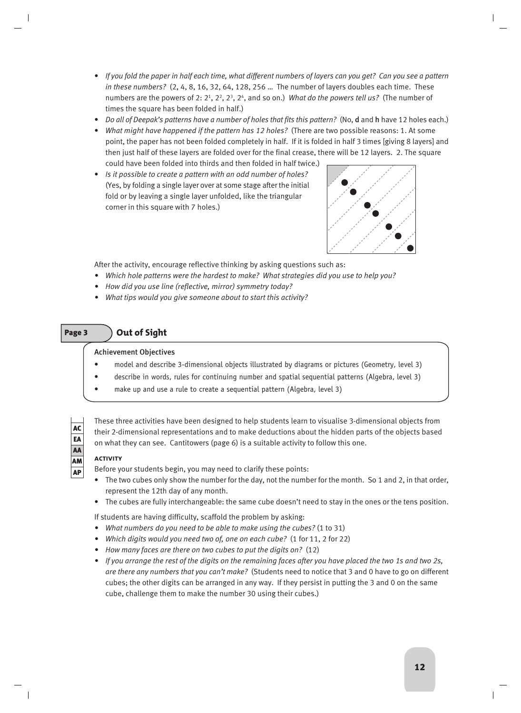- *If you fold the paper in half each time, what different numbers of layers can you get? Can you see a pattern in these numbers?* (2, 4, 8, 16, 32, 64, 128, 256 … The number of layers doubles each time. These numbers are the powers of 2: 21, 22, 23, 24, and so on.) *What do the powers tell us?* (The number of times the square has been folded in half.)
- *Do all of Deepak's patterns have a number of holes that fits this pattern?* (No, d and h have 12 holes each.)
- *What might have happened if the pattern has 12 holes?* (There are two possible reasons: 1. At some point, the paper has not been folded completely in half. If it is folded in half 3 times [giving 8 layers] and then just half of these layers are folded over for the final crease, there will be 12 layers. 2. The square could have been folded into thirds and then folded in half twice.)
- *Is it possible to create a pattern with an odd number of holes?* (Yes, by folding a single layer over at some stage after the initial fold or by leaving a single layer unfolded, like the triangular corner in this square with 7 holes.)



After the activity, encourage reflective thinking by asking questions such as:

- *Which hole patterns were the hardest to make? What strategies did you use to help you?*
- *How did you use line (reflective, mirror) symmetry today?*
- *What tips would you give someone about to start this activity?*

# Page 3 **Out of Sight**

# Achievement Objectives

- model and describe 3-dimensional objects illustrated by diagrams or pictures (Geometry, level 3)
- describe in words, rules for continuing number and spatial sequential patterns (Algebra, level 3)

These three activities have been designed to help students learn to visualise 3-dimensional objects from their 2-dimensional representations and to make deductions about the hidden parts of the objects based

make up and use a rule to create a sequential pattern (Algebra, level 3)

on what they can see. Cantitowers (page 6) is a suitable activity to follow this one.

 $\mathbf{I}$ 

# **activity**

Before your students begin, you may need to clarify these points:

- The two cubes only show the number for the day, not the number for the month. So 1 and 2, in that order, represent the 12th day of any month.
- The cubes are fully interchangeable: the same cube doesn't need to stay in the ones or the tens position.

If students are having difficulty, scaffold the problem by asking:

- *What numbers do you need to be able to make using the cubes?* (1 to 31)
- *Which digits would you need two of, one on each cube?* (1 for 11, 2 for 22)
- *How many faces are there on two cubes to put the digits on?* (12)
- *If you arrange the rest of the digits on the remaining faces after you have placed the two 1s and two 2s, are there any numbers that you can't make?* (Students need to notice that 3 and 0 have to go on different cubes; the other digits can be arranged in any way. If they persist in putting the 3 and 0 on the same cube, challenge them to make the number 30 using their cubes.)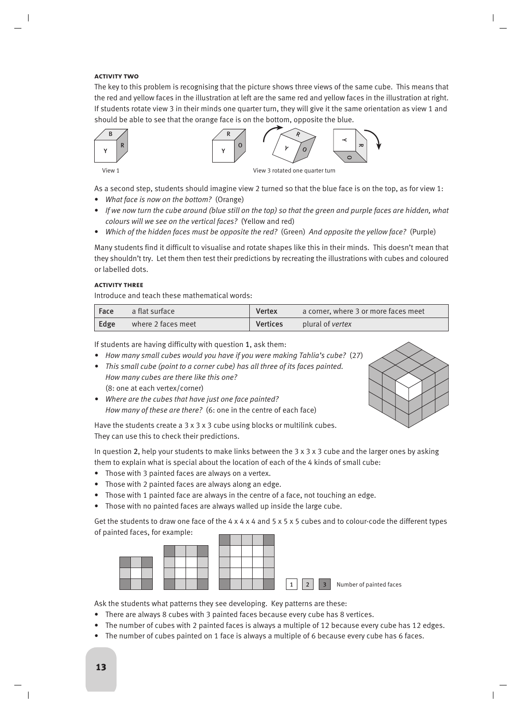# **activity two**

The key to this problem is recognising that the picture shows three views of the same cube. This means that the red and yellow faces in the illustration at left are the same red and yellow faces in the illustration at right. If students rotate view 3 in their minds one quarter turn, they will give it the same orientation as view 1 and should be able to see that the orange face is on the bottom, opposite the blue.





View 1 View 3 rotated one quarter turn

As a second step, students should imagine view 2 turned so that the blue face is on the top, as for view 1:

- *What face is now on the bottom?* (Orange)
- *If we now turn the cube around (blue still on the top) so that the green and purple faces are hidden, what colours will we see on the vertical faces?* (Yellow and red)
- *Which of the hidden faces must be opposite the red?* (Green) *And opposite the yellow face?* (Purple)

Many students find it difficult to visualise and rotate shapes like this in their minds. This doesn't mean that they shouldn't try. Let them then test their predictions by recreating the illustrations with cubes and coloured or labelled dots.

# **activity three**

Introduce and teach these mathematical words:

| $ $ Face | a flat surface     | <b>Vertex</b>   | a corner, where 3 or more faces meet |
|----------|--------------------|-----------------|--------------------------------------|
| Edge     | where 2 faces meet | <b>Vertices</b> | plural of <i>vertex</i>              |

If students are having difficulty with question 1, ask them:

- *How many small cubes would you have if you were making Tahlia's cube?* (27)
- *This small cube (point to a corner cube) has all three of its faces painted. How many cubes are there like this one?* (8: one at each vertex/corner)
- *Where are the cubes that have just one face painted? How many of these are there?* (6: one in the centre of each face)



Have the students create a 3 x 3 x 3 cube using blocks or multilink cubes. They can use this to check their predictions.

In question 2, help your students to make links between the  $3 \times 3 \times 3$  cube and the larger ones by asking them to explain what is special about the location of each of the 4 kinds of small cube:

- Those with 3 painted faces are always on a vertex.
- Those with 2 painted faces are always along an edge.
- Those with 1 painted face are always in the centre of a face, not touching an edge.
- Those with no painted faces are always walled up inside the large cube.

Get the students to draw one face of the 4 x 4 x 4 and 5 x 5 x 5 cubes and to colour-code the different types of painted faces, for example:



Ask the students what patterns they see developing. Key patterns are these:

- There are always 8 cubes with 3 painted faces because every cube has 8 vertices.
- The number of cubes with 2 painted faces is always a multiple of 12 because every cube has 12 edges.
- The number of cubes painted on 1 face is always a multiple of 6 because every cube has 6 faces.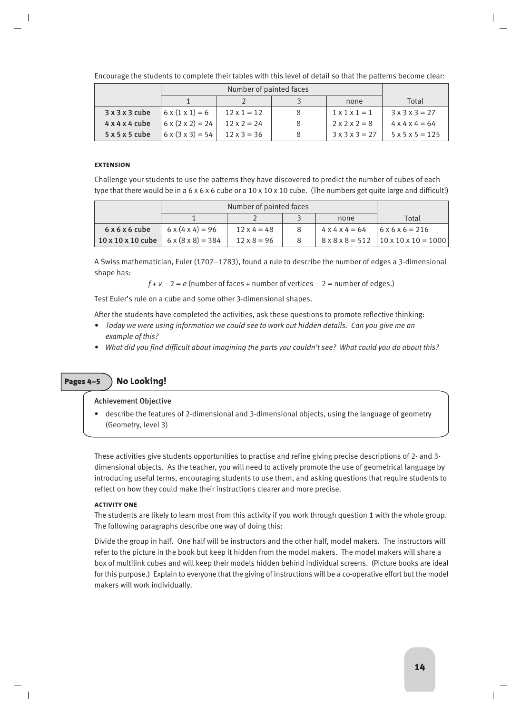Encourage the students to complete their tables with this level of detail so that the patterns become clear:

|                            |                              |                    |   | none                      | Total                       |
|----------------------------|------------------------------|--------------------|---|---------------------------|-----------------------------|
| 3x3x3cube                  | $6 \times (1 \times 1) = 6$  | $12 \times 1 = 12$ | 8 | $1 \times 1 \times 1 = 1$ | $3 \times 3 \times 3 = 27$  |
| $4 \times 4 \times 4$ cube | $6 \times (2 \times 2) = 24$ | $12 \times 2 = 24$ | 8 | $2 \times 2 \times 2 = 8$ | $4 \times 4 \times 4 = 64$  |
| 5x5x5cube                  | $6 \times (3 \times 3) = 54$ | $12 \times 3 = 36$ |   | $3x3x3 = 27$              | $5 \times 5 \times 5 = 125$ |

### **EXTENCION**

Challenge your students to use the patterns they have discovered to predict the number of cubes of each type that there would be in a  $6 \times 6 \times 6$  cube or a  $10 \times 10 \times 10$  cube. (The numbers get quite large and difficult!)

|                                                             | Number of painted faces      |                    |                            |                                                   |
|-------------------------------------------------------------|------------------------------|--------------------|----------------------------|---------------------------------------------------|
|                                                             |                              |                    | none                       | Total                                             |
| 6x6x6cube                                                   | $6 \times (4 \times 4) = 96$ | $12 \times 4 = 48$ | $4 \times 4 \times 4 = 64$ | $6x6x6 = 216$                                     |
| $10 \times 10 \times 10$ cube $6 \times (8 \times 8) = 384$ |                              | $12 \times 8 = 96$ |                            | $8 \times 8 \times 8 = 512$   10 x 10 x 10 = 1000 |

A Swiss mathematician, Euler (1707–1783), found a rule to describe the number of edges a 3-dimensional shape has:

 $f + v - 2 = e$  (number of faces + number of vertices  $-2 =$  number of edges.)

Test Euler's rule on a cube and some other 3-dimensional shapes.

After the students have completed the activities, ask these questions to promote reflective thinking:

- *Today we were using information we could see to work out hidden details. Can you give me an example of this?*
- *What did you find difficult about imagining the parts you couldn't see? What could you do about this?*

# Pages 4–5 **No Looking!**

# Achievement Objective

• describe the features of 2-dimensional and 3-dimensional objects, using the language of geometry (Geometry, level 3)

These activities give students opportunities to practise and refine giving precise descriptions of 2- and 3 dimensional objects. As the teacher, you will need to actively promote the use of geometrical language by introducing useful terms, encouraging students to use them, and asking questions that require students to reflect on how they could make their instructions clearer and more precise.

# **activity one**

The students are likely to learn most from this activity if you work through question 1 with the whole group. The following paragraphs describe one way of doing this:

Divide the group in half. One half will be instructors and the other half, model makers. The instructors will refer to the picture in the book but keep it hidden from the model makers. The model makers will share a box of multilink cubes and will keep their models hidden behind individual screens. (Picture books are ideal for this purpose.) Explain to everyone that the giving of instructions will be a co-operative effort but the model makers will work individually.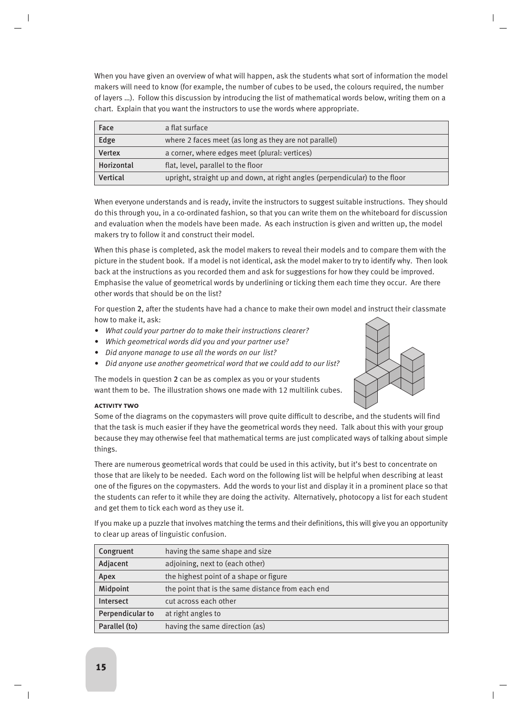When you have given an overview of what will happen, ask the students what sort of information the model makers will need to know (for example, the number of cubes to be used, the colours required, the number of layers …). Follow this discussion by introducing the list of mathematical words below, writing them on a chart. Explain that you want the instructors to use the words where appropriate.

| Face            | a flat surface                                                              |
|-----------------|-----------------------------------------------------------------------------|
| Edge            | where 2 faces meet (as long as they are not parallel)                       |
| <b>Vertex</b>   | a corner, where edges meet (plural: vertices)                               |
| Horizontal      | flat, level, parallel to the floor                                          |
| <b>Vertical</b> | upright, straight up and down, at right angles (perpendicular) to the floor |

When everyone understands and is ready, invite the instructors to suggest suitable instructions. They should do this through you, in a co-ordinated fashion, so that you can write them on the whiteboard for discussion and evaluation when the models have been made. As each instruction is given and written up, the model makers try to follow it and construct their model.

When this phase is completed, ask the model makers to reveal their models and to compare them with the picture in the student book. If a model is not identical, ask the model maker to try to identify why. Then look back at the instructions as you recorded them and ask for suggestions for how they could be improved. Emphasise the value of geometrical words by underlining or ticking them each time they occur. Are there other words that should be on the list?

For question 2, after the students have had a chance to make their own model and instruct their classmate how to make it, ask:

- *What could your partner do to make their instructions clearer?*
- *Which geometrical words did you and your partner use?*
- *Did anyone manage to use all the words on our list?*
- *Did anyone use another geometrical word that we could add to our list?*

The models in question 2 can be as complex as you or your students want them to be. The illustration shows one made with 12 multilink cubes.



# **activity two**

Some of the diagrams on the copymasters will prove quite difficult to describe, and the students will find that the task is much easier if they have the geometrical words they need. Talk about this with your group because they may otherwise feel that mathematical terms are just complicated ways of talking about simple things.

There are numerous geometrical words that could be used in this activity, but it's best to concentrate on those that are likely to be needed. Each word on the following list will be helpful when describing at least one of the figures on the copymasters. Add the words to your list and display it in a prominent place so that the students can refer to it while they are doing the activity. Alternatively, photocopy a list for each student and get them to tick each word as they use it.

If you make up a puzzle that involves matching the terms and their definitions, this will give you an opportunity to clear up areas of linguistic confusion.

| Congruent        | having the same shape and size                    |
|------------------|---------------------------------------------------|
| Adjacent         | adjoining, next to (each other)                   |
| Apex             | the highest point of a shape or figure            |
| Midpoint         | the point that is the same distance from each end |
| Intersect        | cut across each other                             |
| Perpendicular to | at right angles to                                |
| Parallel (to)    | having the same direction (as)                    |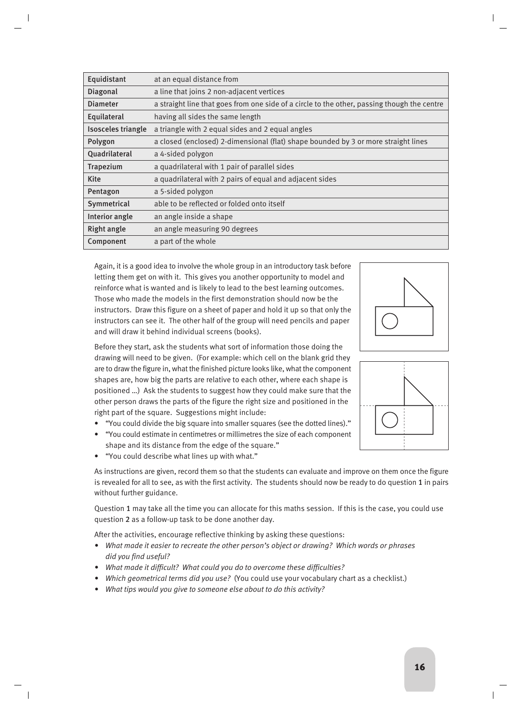| Equidistant        | at an equal distance from                                                                   |
|--------------------|---------------------------------------------------------------------------------------------|
| Diagonal           | a line that joins 2 non-adjacent vertices                                                   |
| <b>Diameter</b>    | a straight line that goes from one side of a circle to the other, passing though the centre |
| Equilateral        | having all sides the same length                                                            |
| Isosceles triangle | a triangle with 2 equal sides and 2 equal angles                                            |
| Polygon            | a closed (enclosed) 2-dimensional (flat) shape bounded by 3 or more straight lines          |
| Quadrilateral      | a 4-sided polygon                                                                           |
| Trapezium          | a quadrilateral with 1 pair of parallel sides                                               |
| <b>Kite</b>        | a quadrilateral with 2 pairs of equal and adjacent sides                                    |
| Pentagon           | a 5-sided polygon                                                                           |
| Symmetrical        | able to be reflected or folded onto itself                                                  |
| Interior angle     | an angle inside a shape                                                                     |
| <b>Right angle</b> | an angle measuring 90 degrees                                                               |
| Component          | a part of the whole                                                                         |

Again, it is a good idea to involve the whole group in an introductory task before letting them get on with it. This gives you another opportunity to model and reinforce what is wanted and is likely to lead to the best learning outcomes. Those who made the models in the first demonstration should now be the instructors. Draw this figure on a sheet of paper and hold it up so that only the instructors can see it. The other half of the group will need pencils and paper and will draw it behind individual screens (books).

Before they start, ask the students what sort of information those doing the drawing will need to be given. (For example: which cell on the blank grid they are to draw the figure in, what the finished picture looks like, what the component shapes are, how big the parts are relative to each other, where each shape is positioned …) Ask the students to suggest how they could make sure that the other person draws the parts of the figure the right size and positioned in the right part of the square. Suggestions might include:

- "You could divide the big square into smaller squares (see the dotted lines)."
- "You could estimate in centimetres or millimetres the size of each component shape and its distance from the edge of the square."
- "You could describe what lines up with what."

As instructions are given, record them so that the students can evaluate and improve on them once the figure is revealed for all to see, as with the first activity. The students should now be ready to do question 1 in pairs without further guidance.

Question 1 may take all the time you can allocate for this maths session. If this is the case, you could use question 2 as a follow-up task to be done another day.

After the activities, encourage reflective thinking by asking these questions:

- *What made it easier to recreate the other person's object or drawing? Which words or phrases did you find useful?*
- *What made it difficult? What could you do to overcome these difficulties?*
- *Which geometrical terms did you use?* (You could use your vocabulary chart as a checklist.)
- *What tips would you give to someone else about to do this activity?*



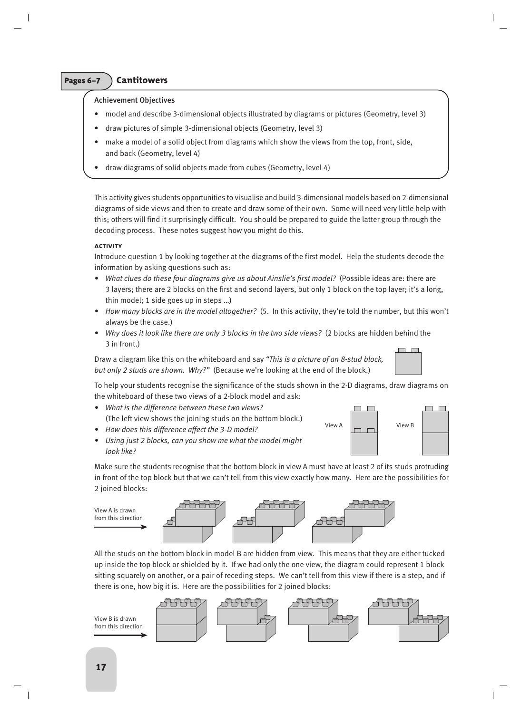# Pages 6–7 **Cantitowers**

# Achievement Objectives

- model and describe 3-dimensional objects illustrated by diagrams or pictures (Geometry, level 3)
- draw pictures of simple 3-dimensional objects (Geometry, level 3)
- make a model of a solid object from diagrams which show the views from the top, front, side, and back (Geometry, level 4)
- draw diagrams of solid objects made from cubes (Geometry, level 4)

This activity gives students opportunities to visualise and build 3-dimensional models based on 2-dimensional diagrams of side views and then to create and draw some of their own. Some will need very little help with this; others will find it surprisingly difficult. You should be prepared to guide the latter group through the decoding process. These notes suggest how you might do this.

# **activity**

Introduce question 1 by looking together at the diagrams of the first model. Help the students decode the information by asking questions such as:

- *What clues do these four diagrams give us about Ainslie's first model?* (Possible ideas are: there are 3 layers; there are 2 blocks on the first and second layers, but only 1 block on the top layer; it's a long, thin model; 1 side goes up in steps …)
- *How many blocks are in the model altogether?* (5. In this activity, they're told the number, but this won't always be the case.)
- *Why does it look like there are only 3 blocks in the two side views?* (2 blocks are hidden behind the 3 in front.)

Draw a diagram like this on the whiteboard and say *"This is a picture of an 8-stud block, but only 2 studs are shown. Why?"* (Because we're looking at the end of the block.)

To help your students recognise the significance of the studs shown in the 2-D diagrams, draw diagrams on the whiteboard of these two views of a 2-block model and ask:

- *What is the difference between these two views?* (The left view shows the joining studs on the bottom block.)
- *How does this difference affect the 3-D model?*
- *Using just 2 blocks, can you show me what the model might look like?*

Make sure the students recognise that the bottom block in view A must have at least 2 of its studs protruding in front of the top block but that we can't tell from this view exactly how many. Here are the possibilities for 2 joined blocks:



All the studs on the bottom block in model B are hidden from view. This means that they are either tucked up inside the top block or shielded by it. If we had only the one view, the diagram could represent 1 block sitting squarely on another, or a pair of receding steps. We can't tell from this view if there is a step, and if there is one, how big it is. Here are the possibilities for 2 joined blocks:



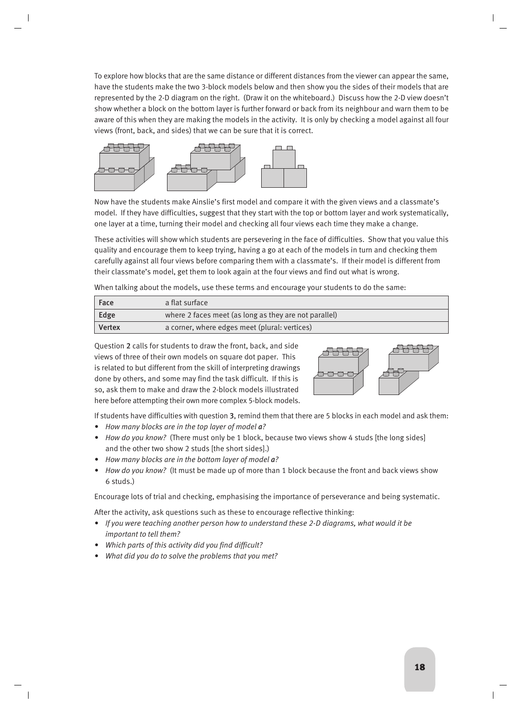To explore how blocks that are the same distance or different distances from the viewer can appear the same, have the students make the two 3-block models below and then show you the sides of their models that are represented by the 2-D diagram on the right. (Draw it on the whiteboard.) Discuss how the 2-D view doesn't show whether a block on the bottom layer is further forward or back from its neighbour and warn them to be aware of this when they are making the models in the activity. It is only by checking a model against all four views (front, back, and sides) that we can be sure that it is correct.



Now have the students make Ainslie's first model and compare it with the given views and a classmate's model. If they have difficulties, suggest that they start with the top or bottom layer and work systematically, one layer at a time, turning their model and checking all four views each time they make a change.

These activities will show which students are persevering in the face of difficulties. Show that you value this quality and encourage them to keep trying, having a go at each of the models in turn and checking them carefully against all four views before comparing them with a classmate's. If their model is different from their classmate's model, get them to look again at the four views and find out what is wrong.

When talking about the models, use these terms and encourage your students to do the same:

| Face          | a flat surface                                        |
|---------------|-------------------------------------------------------|
| Edge          | where 2 faces meet (as long as they are not parallel) |
| <b>Vertex</b> | a corner, where edges meet (plural: vertices)         |

Question 2 calls for students to draw the front, back, and side views of three of their own models on square dot paper. This is related to but different from the skill of interpreting drawings done by others, and some may find the task difficult. If this is so, ask them to make and draw the 2-block models illustrated here before attempting their own more complex 5-block models.



If students have difficulties with question 3, remind them that there are 5 blocks in each model and ask them:

- *How many blocks are in the top layer of model a?*
- *How do you know?* (There must only be 1 block, because two views show 4 studs [the long sides] and the other two show 2 studs [the short sides].)
- *How many blocks are in the bottom layer of model a?*
- *How do you know?* (It must be made up of more than 1 block because the front and back views show 6 studs.)

Encourage lots of trial and checking, emphasising the importance of perseverance and being systematic.

After the activity, ask questions such as these to encourage reflective thinking:

- *If you were teaching another person how to understand these 2-D diagrams, what would it be important to tell them?*
- *Which parts of this activity did you find difficult?*
- *What did you do to solve the problems that you met?*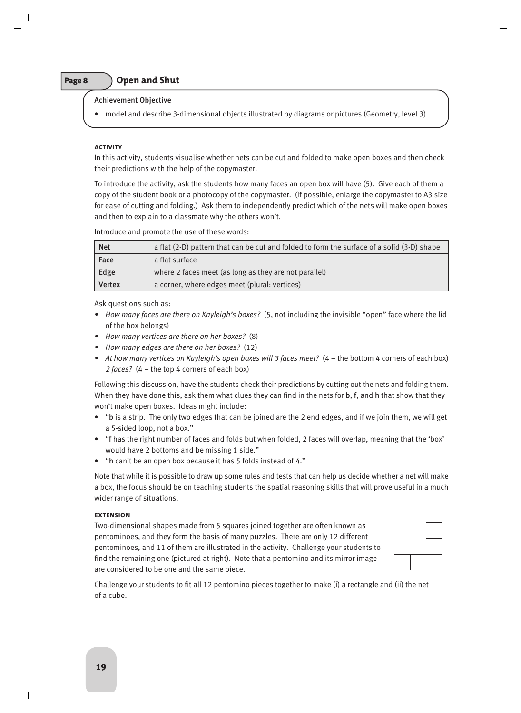# Page 8 **Open and Shut**

# Achievement Objective

• model and describe 3-dimensional objects illustrated by diagrams or pictures (Geometry, level 3)

### **activity**

In this activity, students visualise whether nets can be cut and folded to make open boxes and then check their predictions with the help of the copymaster.

To introduce the activity, ask the students how many faces an open box will have (5). Give each of them a copy of the student book or a photocopy of the copymaster. (If possible, enlarge the copymaster to A3 size for ease of cutting and folding.) Ask them to independently predict which of the nets will make open boxes and then to explain to a classmate why the others won't.

Introduce and promote the use of these words:

| <b>Net</b>    | a flat (2-D) pattern that can be cut and folded to form the surface of a solid (3-D) shape |
|---------------|--------------------------------------------------------------------------------------------|
| Face          | a flat surface                                                                             |
| Edge          | where 2 faces meet (as long as they are not parallel)                                      |
| <b>Vertex</b> | a corner, where edges meet (plural: vertices)                                              |

Ask questions such as:

- *How many faces are there on Kayleigh's boxes?* (5, not including the invisible "open" face where the lid of the box belongs)
- *How many vertices are there on her boxes?* (8)
- *How many edges are there on her boxes?* (12)
- At how many vertices on Kayleigh's open boxes will 3 faces meet? (4 the bottom 4 corners of each box) *2 faces?* (4 – the top 4 corners of each box)

Following this discussion, have the students check their predictions by cutting out the nets and folding them. When they have done this, ask them what clues they can find in the nets for **b**, f, and h that show that they won't make open boxes. Ideas might include:

- "b is a strip. The only two edges that can be joined are the 2 end edges, and if we join them, we will get a 5-sided loop, not a box."
- "f has the right number of faces and folds but when folded, 2 faces will overlap, meaning that the 'box' would have 2 bottoms and be missing 1 side."
- "h can't be an open box because it has 5 folds instead of 4."

Note that while it is possible to draw up some rules and tests that can help us decide whether a net will make a box, the focus should be on teaching students the spatial reasoning skills that will prove useful in a much wider range of situations.

### **extension**

Two-dimensional shapes made from 5 squares joined together are often known as pentominoes, and they form the basis of many puzzles. There are only 12 different pentominoes, and 11 of them are illustrated in the activity. Challenge your students to find the remaining one (pictured at right). Note that a pentomino and its mirror image are considered to be one and the same piece.



Challenge your students to fit all 12 pentomino pieces together to make (i) a rectangle and (ii) the net of a cube.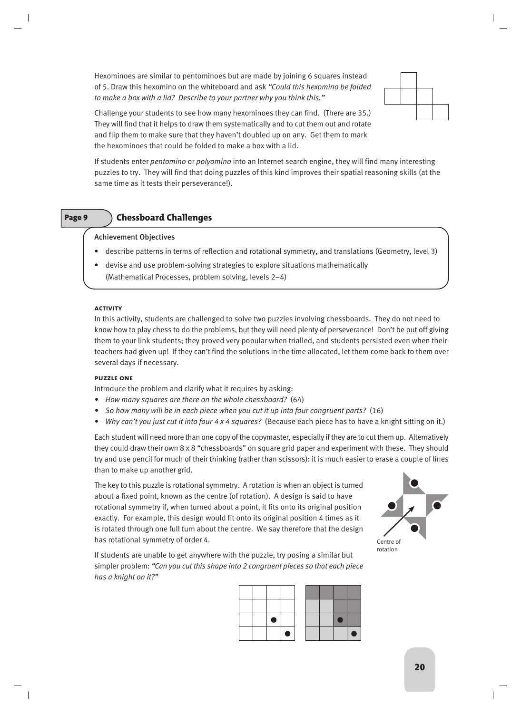Hexominoes are similar to pentominoes but are made by joining 6 squares instead of 5. Draw this hexomino on the whiteboard and ask *"Could this hexomino be folded to make a box with a lid? Describe to your partner why you think this."*



Challenge your students to see how many hexominoes they can find. (There are 35.) They will find that it helps to draw them systematically and to cut them out and rotate and flip them to make sure that they haven't doubled up on any. Get them to mark the hexominoes that could be folded to make a box with a lid.

If students enter *pentomino* or *polyomino* into an Internet search engine, they will find many interesting puzzles to try. They will find that doing puzzles of this kind improves their spatial reasoning skills (at the same time as it tests their perseverance!).

# Page 9 **Chessboard Challenges**

# Achievement Objectives

- describe patterns in terms of reflection and rotational symmetry, and translations (Geometry, level 3)
- devise and use problem-solving strategies to explore situations mathematically
- (Mathematical Processes, problem solving, levels 2–4)

# **activity**

In this activity, students are challenged to solve two puzzles involving chessboards. They do not need to know how to play chess to do the problems, but they will need plenty of perseverance! Don't be put off giving them to your link students; they proved very popular when trialled, and students persisted even when their teachers had given up! If they can't find the solutions in the time allocated, let them come back to them over several days if necessary.

# **puzzle one**

Introduce the problem and clarify what it requires by asking:

- *How many squares are there on the whole chessboard?* (64)
- *So how many will be in each piece when you cut it up into four congruent parts?* (16)
- *Why can't you just cut it into four 4 x 4 squares?* (Because each piece has to have a knight sitting on it.)

Each student will need more than one copy of the copymaster, especially if they are to cut them up. Alternatively they could draw their own 8 x 8 "chessboards" on square grid paper and experiment with these. They should try and use pencil for much of their thinking (rather than scissors): it is much easier to erase a couple of lines than to make up another grid.

The key to this puzzle is rotational symmetry. A rotation is when an object is turned about a fixed point, known as the centre (of rotation). A design is said to have rotational symmetry if, when turned about a point, it fits onto its original position exactly. For example, this design would fit onto its original position 4 times as it is rotated through one full turn about the centre. We say therefore that the design has rotational symmetry of order 4.



If students are unable to get anywhere with the puzzle, try posing a similar but simpler problem: *"Can you cut this shape into 2 congruent pieces so that each piece has a knight on it?"*

|  | <b>Service Service</b> |   |  |  |  |
|--|------------------------|---|--|--|--|
|  |                        | o |  |  |  |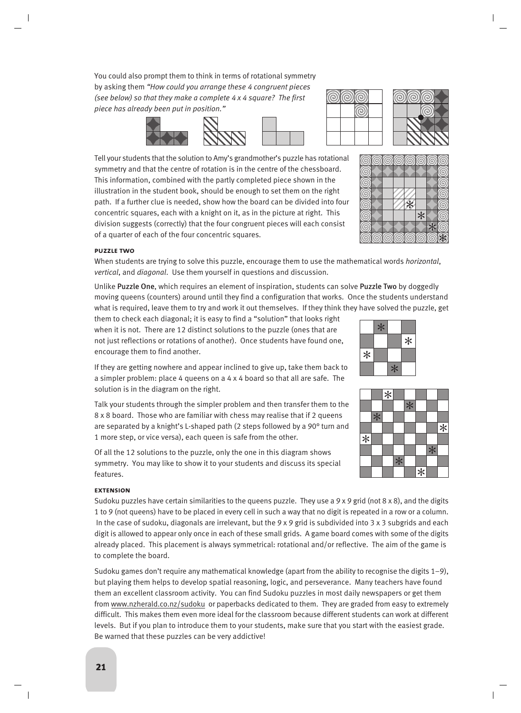You could also prompt them to think in terms of rotational symmetry by asking them *"How could you arrange these 4 congruent pieces (see below) so that they make a complete 4 x 4 square? The first piece has already been put in position."*







(ල ධ

6 6

G

(@) (ග ര ര

 $\ast$ 

 $\ast$ 

ි

Tell your students that the solution to Amy's grandmother's puzzle has rotational symmetry and that the centre of rotation is in the centre of the chessboard. This information, combined with the partly completed piece shown in the illustration in the student book, should be enough to set them on the right path. If a further clue is needed, show how the board can be divided into four concentric squares, each with a knight on it, as in the picture at right. This division suggests (correctly) that the four congruent pieces will each consist of a quarter of each of the four concentric squares.

# **puzzle two**

When students are trying to solve this puzzle, encourage them to use the mathematical words *horizontal*, *vertical*, and *diagonal*. Use them yourself in questions and discussion.

Unlike Puzzle One, which requires an element of inspiration, students can solve Puzzle Two by doggedly moving queens (counters) around until they find a configuration that works. Once the students understand what is required, leave them to try and work it out themselves. If they think they have solved the puzzle, get

them to check each diagonal; it is easy to find a "solution" that looks right when it is not. There are 12 distinct solutions to the puzzle (ones that are not just reflections or rotations of another). Once students have found one, encourage them to find another.

 $*$  $\ast$  $\ast$  $*$ 

|        |     | $\ast$ |        |     |        |     |        |
|--------|-----|--------|--------|-----|--------|-----|--------|
|        |     |        |        | $*$ |        |     |        |
|        | $*$ |        |        |     |        |     |        |
|        |     |        |        |     |        |     | $\ast$ |
| $\ast$ |     |        |        |     |        |     |        |
|        |     |        |        |     |        | $*$ |        |
|        |     |        | $\ast$ |     |        |     |        |
|        |     |        |        |     | $\ast$ |     |        |

If they are getting nowhere and appear inclined to give up, take them back to a simpler problem: place 4 queens on a 4 x 4 board so that all are safe. The solution is in the diagram on the right.

Talk your students through the simpler problem and then transfer them to the 8 x 8 board. Those who are familiar with chess may realise that if 2 queens are separated by a knight's L-shaped path (2 steps followed by a 90° turn and 1 more step, or vice versa), each queen is safe from the other.

Of all the 12 solutions to the puzzle, only the one in this diagram shows symmetry. You may like to show it to your students and discuss its special features.

# **extension**

Sudoku puzzles have certain similarities to the queens puzzle. They use a  $9 \times 9$  grid (not  $8 \times 8$ ), and the digits 1 to 9 (not queens) have to be placed in every cell in such a way that no digit is repeated in a row or a column. In the case of sudoku, diagonals are irrelevant, but the 9 x 9 grid is subdivided into 3 x 3 subgrids and each digit is allowed to appear only once in each of these small grids. A game board comes with some of the digits already placed. This placement is always symmetrical: rotational and/or reflective. The aim of the game is to complete the board.

Sudoku games don't require any mathematical knowledge (apart from the ability to recognise the digits  $1-9$ ), but playing them helps to develop spatial reasoning, logic, and perseverance. Many teachers have found them an excellent classroom activity. You can find Sudoku puzzles in most daily newspapers or get them from www.nzherald.co.nz/sudoku or paperbacks dedicated to them. They are graded from easy to extremely difficult. This makes them even more ideal for the classroom because different students can work at different levels. But if you plan to introduce them to your students, make sure that you start with the easiest grade. Be warned that these puzzles can be very addictive!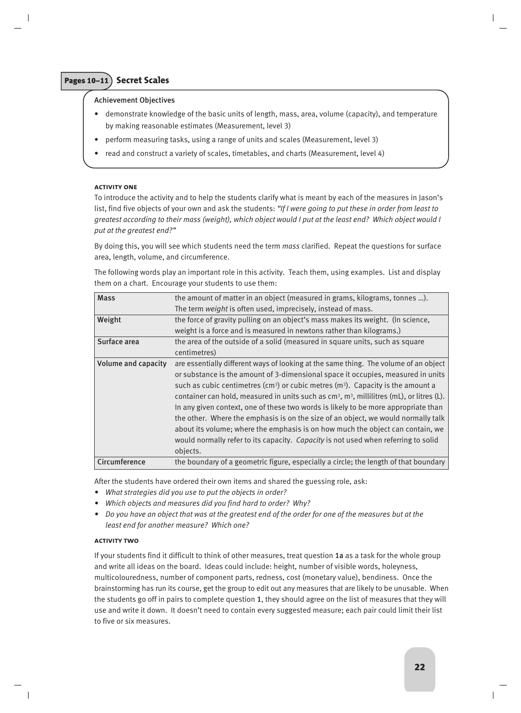# Pages 10–11 **Secret Scales**

# Achievement Objectives

- demonstrate knowledge of the basic units of length, mass, area, volume (capacity), and temperature by making reasonable estimates (Measurement, level 3)
- perform measuring tasks, using a range of units and scales (Measurement, level 3)
- read and construct a variety of scales, timetables, and charts (Measurement, level 4)

### **activity one**

To introduce the activity and to help the students clarify what is meant by each of the measures in Jason's list, find five objects of your own and ask the students: *"If I were going to put these in order from least to greatest according to their mass (weight), which object would I put at the least end? Which object would I put at the greatest end?"*

By doing this, you will see which students need the term *mass* clarified. Repeat the questions for surface area, length, volume, and circumference.

The following words play an important role in this activity. Teach them, using examples. List and display them on a chart. Encourage your students to use them:

| <b>Mass</b>                | the amount of matter in an object (measured in grams, kilograms, tonnes ).                    |
|----------------------------|-----------------------------------------------------------------------------------------------|
|                            | The term weight is often used, imprecisely, instead of mass.                                  |
| Weight                     | the force of gravity pulling on an object's mass makes its weight. (In science,               |
|                            | weight is a force and is measured in newtons rather than kilograms.)                          |
| Surface area               | the area of the outside of a solid (measured in square units, such as square                  |
|                            | centimetres)                                                                                  |
| <b>Volume and capacity</b> | are essentially different ways of looking at the same thing. The volume of an object          |
|                            | or substance is the amount of 3-dimensional space it occupies, measured in units              |
|                            | such as cubic centimetres $(cm3)$ or cubic metres $(m3)$ . Capacity is the amount a           |
|                            | container can hold, measured in units such as $cm3$ , $m3$ , millilitres (mL), or litres (L). |
|                            | In any given context, one of these two words is likely to be more appropriate than            |
|                            | the other. Where the emphasis is on the size of an object, we would normally talk             |
|                            | about its volume; where the emphasis is on how much the object can contain, we                |
|                            | would normally refer to its capacity. Capacity is not used when referring to solid            |
|                            | objects.                                                                                      |
| Circumference              | the boundary of a geometric figure, especially a circle; the length of that boundary          |

After the students have ordered their own items and shared the guessing role, ask:

- *What strategies did you use to put the objects in order?*
- *Which objects and measures did you find hard to order? Why?*
- *Do you have an object that was at the greatest end of the order for one of the measures but at the least end for another measure? Which one?*

# **activity two**

If your students find it difficult to think of other measures, treat question 1a as a task for the whole group and write all ideas on the board. Ideas could include: height, number of visible words, holeyness, multicolouredness, number of component parts, redness, cost (monetary value), bendiness. Once the brainstorming has run its course, get the group to edit out any measures that are likely to be unusable. When the students go off in pairs to complete question 1, they should agree on the list of measures that they will use and write it down. It doesn't need to contain every suggested measure; each pair could limit their list to five or six measures.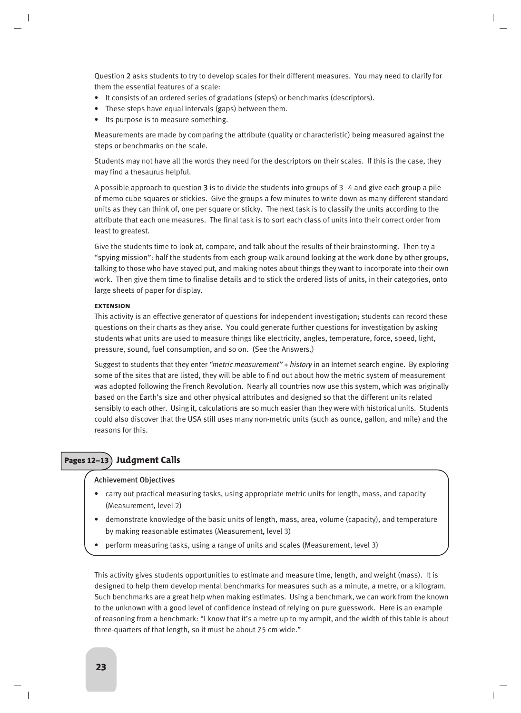Question 2 asks students to try to develop scales for their different measures. You may need to clarify for them the essential features of a scale:

- It consists of an ordered series of gradations (steps) or benchmarks (descriptors).
- These steps have equal intervals (gaps) between them.
- Its purpose is to measure something.

Measurements are made by comparing the attribute (quality or characteristic) being measured against the steps or benchmarks on the scale.

Students may not have all the words they need for the descriptors on their scales. If this is the case, they may find a thesaurus helpful.

A possible approach to question 3 is to divide the students into groups of 3–4 and give each group a pile of memo cube squares or stickies. Give the groups a few minutes to write down as many different standard units as they can think of, one per square or sticky. The next task is to classify the units according to the attribute that each one measures. The final task is to sort each class of units into their correct order from least to greatest.

Give the students time to look at, compare, and talk about the results of their brainstorming. Then try a "spying mission": half the students from each group walk around looking at the work done by other groups, talking to those who have stayed put, and making notes about things they want to incorporate into their own work. Then give them time to finalise details and to stick the ordered lists of units, in their categories, onto large sheets of paper for display.

#### **extension**

This activity is an effective generator of questions for independent investigation; students can record these questions on their charts as they arise. You could generate further questions for investigation by asking students what units are used to measure things like electricity, angles, temperature, force, speed, light, pressure, sound, fuel consumption, and so on. (See the Answers.)

Suggest to students that they enter *"metric measurement"* + *history* in an Internet search engine. By exploring some of the sites that are listed, they will be able to find out about how the metric system of measurement was adopted following the French Revolution. Nearly all countries now use this system, which was originally based on the Earth's size and other physical attributes and designed so that the different units related sensibly to each other. Using it, calculations are so much easier than they were with historical units. Students could also discover that the USA still uses many non-metric units (such as ounce, gallon, and mile) and the reasons for this.

# Pages 12–13 **Judgment Calls**

### Achievement Objectives

- carry out practical measuring tasks, using appropriate metric units for length, mass, and capacity (Measurement, level 2)
- demonstrate knowledge of the basic units of length, mass, area, volume (capacity), and temperature by making reasonable estimates (Measurement, level 3)
- perform measuring tasks, using a range of units and scales (Measurement, level 3)

This activity gives students opportunities to estimate and measure time, length, and weight (mass). It is designed to help them develop mental benchmarks for measures such as a minute, a metre, or a kilogram. Such benchmarks are a great help when making estimates. Using a benchmark, we can work from the known to the unknown with a good level of confidence instead of relying on pure guesswork. Here is an example of reasoning from a benchmark: "I know that it's a metre up to my armpit, and the width of this table is about three-quarters of that length, so it must be about 75 cm wide."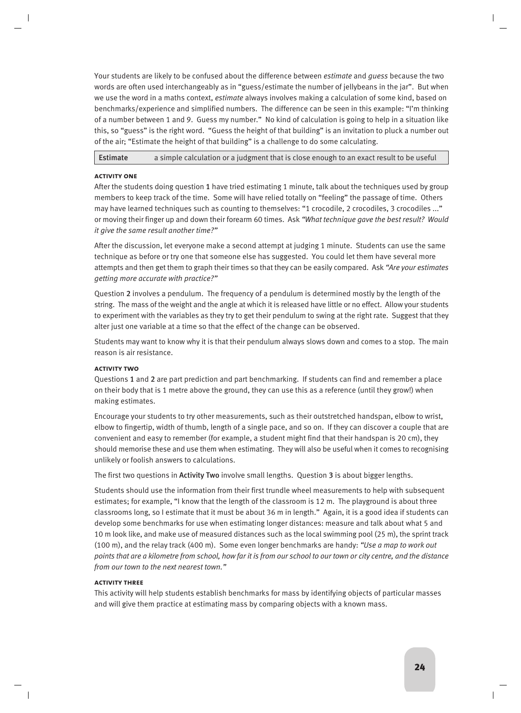Your students are likely to be confused about the difference between *estimate* and *guess* because the two words are often used interchangeably as in "guess/estimate the number of jellybeans in the jar". But when we use the word in a maths context, *estimate* always involves making a calculation of some kind, based on benchmarks/experience and simplified numbers. The difference can be seen in this example: "I'm thinking of a number between 1 and 9. Guess my number." No kind of calculation is going to help in a situation like this, so "guess" is the right word. "Guess the height of that building" is an invitation to pluck a number out of the air; "Estimate the height of that building" is a challenge to do some calculating.

# Estimate a simple calculation or a judgment that is close enough to an exact result to be useful

# **activity one**

After the students doing question 1 have tried estimating 1 minute, talk about the techniques used by group members to keep track of the time. Some will have relied totally on "feeling" the passage of time. Others may have learned techniques such as counting to themselves: "1 crocodile, 2 crocodiles, 3 crocodiles ..." or moving their finger up and down their forearm 60 times. Ask *"What technique gave the best result? Would it give the same result another time?"*

After the discussion, let everyone make a second attempt at judging 1 minute. Students can use the same technique as before or try one that someone else has suggested. You could let them have several more attempts and then get them to graph their times so that they can be easily compared. Ask *"Are your estimates getting more accurate with practice?"*

Question 2 involves a pendulum. The frequency of a pendulum is determined mostly by the length of the string. The mass of the weight and the angle at which it is released have little or no effect. Allow your students to experiment with the variables as they try to get their pendulum to swing at the right rate. Suggest that they alter just one variable at a time so that the effect of the change can be observed.

Students may want to know why it is that their pendulum always slows down and comes to a stop. The main reason is air resistance.

# **activity two**

Questions 1 and 2 are part prediction and part benchmarking. If students can find and remember a place on their body that is 1 metre above the ground, they can use this as a reference (until they grow!) when making estimates.

Encourage your students to try other measurements, such as their outstretched handspan, elbow to wrist, elbow to fingertip, width of thumb, length of a single pace, and so on. If they can discover a couple that are convenient and easy to remember (for example, a student might find that their handspan is 20 cm), they should memorise these and use them when estimating. They will also be useful when it comes to recognising unlikely or foolish answers to calculations.

The first two questions in Activity Two involve small lengths. Question 3 is about bigger lengths.

Students should use the information from their first trundle wheel measurements to help with subsequent estimates; for example, "I know that the length of the classroom is 12 m. The playground is about three classrooms long, so I estimate that it must be about 36 m in length." Again, it is a good idea if students can develop some benchmarks for use when estimating longer distances: measure and talk about what 5 and 10 m look like, and make use of measured distances such as the local swimming pool (25 m), the sprint track (100 m), and the relay track (400 m). Some even longer benchmarks are handy: *"Use a map to work out points that are a kilometre from school, how far it is from our school to our town or city centre, and the distance from our town to the next nearest town."*

# **activity three**

This activity will help students establish benchmarks for mass by identifying objects of particular masses and will give them practice at estimating mass by comparing objects with a known mass.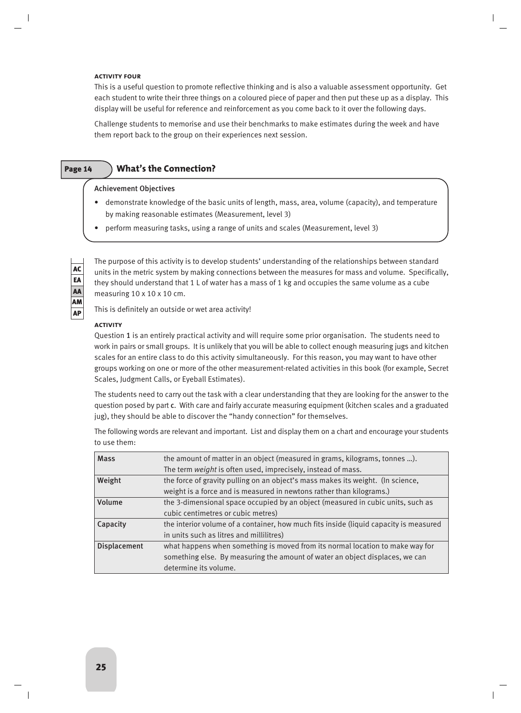#### **activity four**

This is a useful question to promote reflective thinking and is also a valuable assessment opportunity. Get each student to write their three things on a coloured piece of paper and then put these up as a display. This display will be useful for reference and reinforcement as you come back to it over the following days.

Challenge students to memorise and use their benchmarks to make estimates during the week and have them report back to the group on their experiences next session.

# Page 14 **What's the Connection?**

### Achievement Objectives

- demonstrate knowledge of the basic units of length, mass, area, volume (capacity), and temperature by making reasonable estimates (Measurement, level 3)
- perform measuring tasks, using a range of units and scales (Measurement, level 3)

AC EA AA AM AP

The purpose of this activity is to develop students' understanding of the relationships between standard units in the metric system by making connections between the measures for mass and volume. Specifically, they should understand that 1 L of water has a mass of 1 kg and occupies the same volume as a cube measuring 10 x 10 x 10 cm.

This is definitely an outside or wet area activity!

### **activity**

Question 1 is an entirely practical activity and will require some prior organisation. The students need to work in pairs or small groups. It is unlikely that you will be able to collect enough measuring jugs and kitchen scales for an entire class to do this activity simultaneously. For this reason, you may want to have other groups working on one or more of the other measurement-related activities in this book (for example, Secret Scales, Judgment Calls, or Eyeball Estimates).

The students need to carry out the task with a clear understanding that they are looking for the answer to the question posed by part c. With care and fairly accurate measuring equipment (kitchen scales and a graduated jug), they should be able to discover the "handy connection" for themselves.

The following words are relevant and important. List and display them on a chart and encourage your students to use them:

| <b>Mass</b>         | the amount of matter in an object (measured in grams, kilograms, tonnes ).            |
|---------------------|---------------------------------------------------------------------------------------|
|                     | The term weight is often used, imprecisely, instead of mass.                          |
| Weight              | the force of gravity pulling on an object's mass makes its weight. (In science,       |
|                     | weight is a force and is measured in newtons rather than kilograms.)                  |
| Volume              | the 3-dimensional space occupied by an object (measured in cubic units, such as       |
|                     | cubic centimetres or cubic metres)                                                    |
| Capacity            | the interior volume of a container, how much fits inside (liquid capacity is measured |
|                     | in units such as litres and millilitres)                                              |
| <b>Displacement</b> | what happens when something is moved from its normal location to make way for         |
|                     | something else. By measuring the amount of water an object displaces, we can          |
|                     | determine its volume.                                                                 |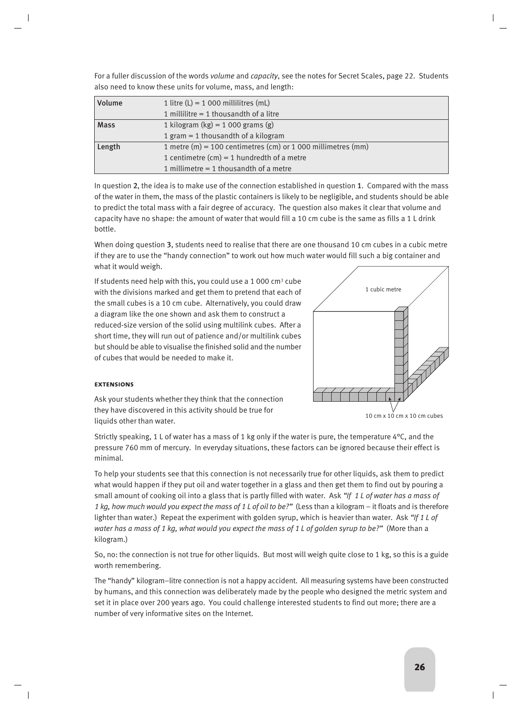| <b>Volume</b> | 1 litre $(L) = 1000$ millilitres (mL)                        |
|---------------|--------------------------------------------------------------|
|               | 1 millilitre $=$ 1 thousandth of a litre                     |
| <b>Mass</b>   | 1 kilogram (kg) = $1000$ grams (g)                           |
|               | 1 gram = 1 thousandth of a kilogram                          |
| Length        | 1 metre (m) = 100 centimetres (cm) or 1 000 millimetres (mm) |
|               | 1 centimetre $(cm) = 1$ hundredth of a metre                 |
|               | 1 millimetre $=$ 1 thousandth of a metre                     |

For a fuller discussion of the words *volume* and *capacity*, see the notes for Secret Scales, page 22. Students also need to know these units for volume, mass, and length:

In question 2, the idea is to make use of the connection established in question 1. Compared with the mass of the water in them, the mass of the plastic containers is likely to be negligible, and students should be able to predict the total mass with a fair degree of accuracy. The question also makes it clear that volume and capacity have no shape: the amount of water that would fill a 10 cm cube is the same as fills a 1 L drink bottle.

When doing question 3, students need to realise that there are one thousand 10 cm cubes in a cubic metre if they are to use the "handy connection" to work out how much water would fill such a big container and what it would weigh.

If students need help with this, you could use a 1 000  $cm<sup>3</sup>$  cube with the divisions marked and get them to pretend that each of the small cubes is a 10 cm cube. Alternatively, you could draw a diagram like the one shown and ask them to construct a reduced-size version of the solid using multilink cubes. After a short time, they will run out of patience and/or multilink cubes but should be able to visualise the finished solid and the number of cubes that would be needed to make it.



# **extensions**

Ask your students whether they think that the connection they have discovered in this activity should be true for liquids other than water.

10 cm x 10 cm x 10 cm cubes

Strictly speaking, 1 L of water has a mass of 1 kg only if the water is pure, the temperature  $4^{\circ}$ C, and the pressure 760 mm of mercury. In everyday situations, these factors can be ignored because their effect is minimal.

To help your students see that this connection is not necessarily true for other liquids, ask them to predict what would happen if they put oil and water together in a glass and then get them to find out by pouring a small amount of cooking oil into a glass that is partly filled with water. Ask *"If 1 L of water has a mass of 1 kg, how much would you expect the mass of 1 L of oil to be?"* (Less than a kilogram – it floats and is therefore lighter than water.) Repeat the experiment with golden syrup, which is heavier than water. Ask *"If 1 L of water has a mass of 1 kg, what would you expect the mass of 1 L of golden syrup to be?"* (More than a kilogram.)

So, no: the connection is not true for other liquids. But most will weigh quite close to 1 kg, so this is a guide worth remembering.

The "handy" kilogram–litre connection is not a happy accident. All measuring systems have been constructed by humans, and this connection was deliberately made by the people who designed the metric system and set it in place over 200 years ago. You could challenge interested students to find out more; there are a number of very informative sites on the Internet.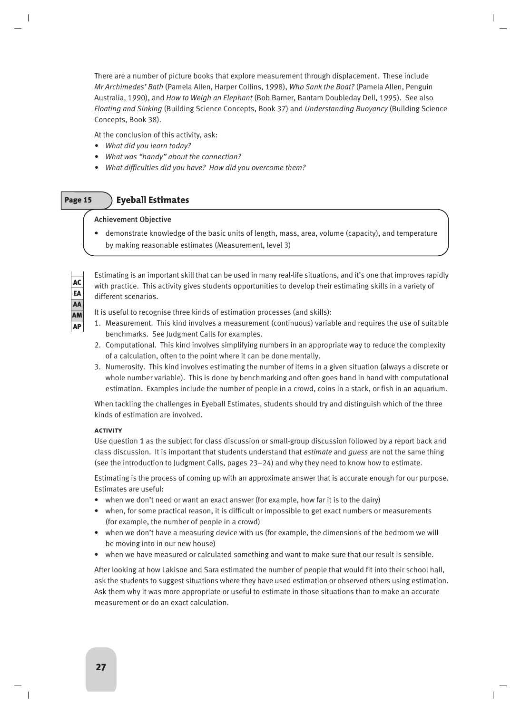There are a number of picture books that explore measurement through displacement. These include *Mr Archimedes' Bath* (Pamela Allen, Harper Collins, 1998), *Who Sank the Boat?* (Pamela Allen, Penguin Australia, 1990), and *How to Weigh an Elephant* (Bob Barner, Bantam Doubleday Dell, 1995). See also *Floating and Sinking* (Building Science Concepts, Book 37) and *Understanding Buoyancy* (Building Science Concepts, Book 38).

At the conclusion of this activity, ask:

- *What did you learn today?*
- *What was "handy" about the connection?*
- *What difficulties did you have? How did you overcome them?*

# Page 15 **Eyeball Estimates**

# Achievement Objective

• demonstrate knowledge of the basic units of length, mass, area, volume (capacity), and temperature by making reasonable estimates (Measurement, level 3)

AC EA AA AM AP

Estimating is an important skill that can be used in many real-life situations, and it's one that improves rapidly with practice. This activity gives students opportunities to develop their estimating skills in a variety of different scenarios.

It is useful to recognise three kinds of estimation processes (and skills):

- 1. Measurement. This kind involves a measurement (continuous) variable and requires the use of suitable benchmarks. See Judgment Calls for examples.
- 2. Computational. This kind involves simplifying numbers in an appropriate way to reduce the complexity of a calculation, often to the point where it can be done mentally.
- 3. Numerosity. This kind involves estimating the number of items in a given situation (always a discrete or whole number variable). This is done by benchmarking and often goes hand in hand with computational estimation. Examples include the number of people in a crowd, coins in a stack, or fish in an aquarium.

When tackling the challenges in Eyeball Estimates, students should try and distinguish which of the three kinds of estimation are involved.

# **activity**

Use question 1 as the subject for class discussion or small-group discussion followed by a report back and class discussion. It is important that students understand that *estimate* and *guess* are not the same thing (see the introduction to Judgment Calls, pages 23–24) and why they need to know how to estimate.

Estimating is the process of coming up with an approximate answer that is accurate enough for our purpose. Estimates are useful:

- when we don't need or want an exact answer (for example, how far it is to the dairy)
- when, for some practical reason, it is difficult or impossible to get exact numbers or measurements (for example, the number of people in a crowd)
- when we don't have a measuring device with us (for example, the dimensions of the bedroom we will be moving into in our new house)
- when we have measured or calculated something and want to make sure that our result is sensible.

After looking at how Lakisoe and Sara estimated the number of people that would fit into their school hall, ask the students to suggest situations where they have used estimation or observed others using estimation. Ask them why it was more appropriate or useful to estimate in those situations than to make an accurate measurement or do an exact calculation.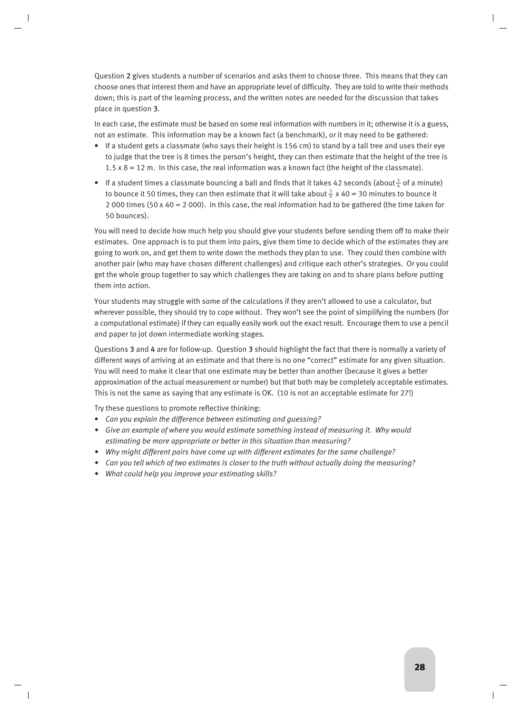Question 2 gives students a number of scenarios and asks them to choose three. This means that they can choose ones that interest them and have an appropriate level of difficulty. They are told to write their methods down; this is part of the learning process, and the written notes are needed for the discussion that takes place in question 3.

In each case, the estimate must be based on some real information with numbers in it; otherwise it is a guess, not an estimate. This information may be a known fact (a benchmark), or it may need to be gathered:

- If a student gets a classmate (who says their height is 156 cm) to stand by a tall tree and uses their eye to judge that the tree is 8 times the person's height, they can then estimate that the height of the tree is  $1.5 \times 8 = 12$  m. In this case, the real information was a known fact (the height of the classmate).
- If a student times a classmate bouncing a ball and finds that it takes 42 seconds (about $\frac{3}{4}$  of a minute) to bounce it 50 times, they can then estimate that it will take about  $\frac{3}{4}$  x 40 = 30 minutes to bounce it 2 000 times (50 x 40 = 2 000). In this case, the real information had to be gathered (the time taken for 50 bounces).

You will need to decide how much help you should give your students before sending them off to make their estimates. One approach is to put them into pairs, give them time to decide which of the estimates they are going to work on, and get them to write down the methods they plan to use. They could then combine with another pair (who may have chosen different challenges) and critique each other's strategies. Or you could get the whole group together to say which challenges they are taking on and to share plans before putting them into action.

Your students may struggle with some of the calculations if they aren't allowed to use a calculator, but wherever possible, they should try to cope without. They won't see the point of simplifying the numbers (for a computational estimate) if they can equally easily work out the exact result. Encourage them to use a pencil and paper to jot down intermediate working stages.

Questions 3 and 4 are for follow-up. Question 3 should highlight the fact that there is normally a variety of different ways of arriving at an estimate and that there is no one "correct" estimate for any given situation. You will need to make it clear that one estimate may be better than another (because it gives a better approximation of the actual measurement or number) but that both may be completely acceptable estimates. This is not the same as saying that any estimate is OK. (10 is not an acceptable estimate for 27!)

Try these questions to promote reflective thinking:

- *Can you explain the difference between estimating and guessing?*
- *Give an example of where you would estimate something instead of measuring it. Why would estimating be more appropriate or better in this situation than measuring?*
- *Why might different pairs have come up with different estimates for the same challenge?*
- *Can you tell which of two estimates is closer to the truth without actually doing the measuring?*
- *What could help you improve your estimating skills?*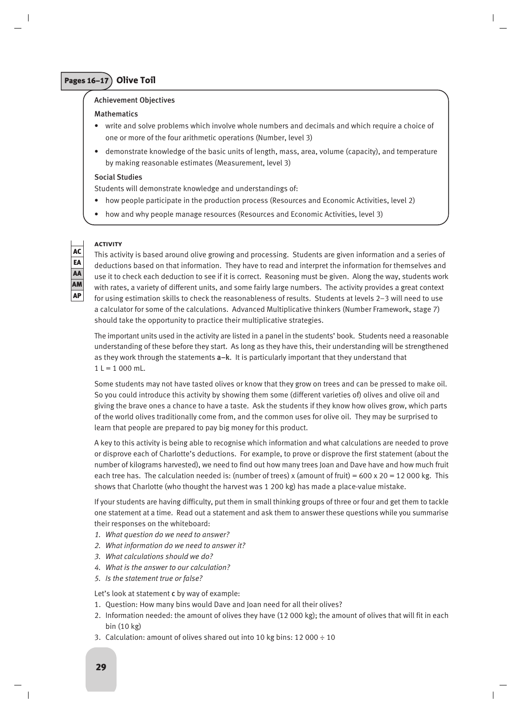# Pages 16–17 **Olive Toil**

# Achievement Objectives

# Mathematics

- write and solve problems which involve whole numbers and decimals and which require a choice of one or more of the four arithmetic operations (Number, level 3)
- demonstrate knowledge of the basic units of length, mass, area, volume (capacity), and temperature by making reasonable estimates (Measurement, level 3)

# Social Studies

Students will demonstrate knowledge and understandings of:

- how people participate in the production process (Resources and Economic Activities, level 2)
- how and why people manage resources (Resources and Economic Activities, level 3)

# **activity**

This activity is based around olive growing and processing. Students are given information and a series of deductions based on that information. They have to read and interpret the information for themselves and use it to check each deduction to see if it is correct. Reasoning must be given. Along the way, students work with rates, a variety of different units, and some fairly large numbers. The activity provides a great context for using estimation skills to check the reasonableness of results. Students at levels 2–3 will need to use a calculator for some of the calculations. Advanced Multiplicative thinkers (Number Framework, stage 7) should take the opportunity to practice their multiplicative strategies.

The important units used in the activity are listed in a panel in the students' book. Students need a reasonable understanding of these before they start. As long as they have this, their understanding will be strengthened as they work through the statements  $a-k$ . It is particularly important that they understand that  $1 L = 1000$  mL.

Some students may not have tasted olives or know that they grow on trees and can be pressed to make oil. So you could introduce this activity by showing them some (different varieties of) olives and olive oil and giving the brave ones a chance to have a taste. Ask the students if they know how olives grow, which parts of the world olives traditionally come from, and the common uses for olive oil. They may be surprised to learn that people are prepared to pay big money for this product.

A key to this activity is being able to recognise which information and what calculations are needed to prove or disprove each of Charlotte's deductions. For example, to prove or disprove the first statement (about the number of kilograms harvested), we need to find out how many trees Joan and Dave have and how much fruit each tree has. The calculation needed is: (number of trees) x (amount of fruit) =  $600 \times 20 = 12000$  kg. This shows that Charlotte (who thought the harvest was 1 200 kg) has made a place-value mistake.

If your students are having difficulty, put them in small thinking groups of three or four and get them to tackle one statement at a time. Read out a statement and ask them to answer these questions while you summarise their responses on the whiteboard:

- *1. What question do we need to answer?*
- *2. What information do we need to answer it?*
- *3. What calculations should we do?*
- *4. What is the answer to our calculation?*
- *5. Is the statement true or false?*

Let's look at statement c by way of example:

- 1. Question: How many bins would Dave and Joan need for all their olives?
- 2. Information needed: the amount of olives they have (12 000 kg); the amount of olives that will fit in each bin (10 kg)
- 3. Calculation: amount of olives shared out into 10 kg bins: 12 000 ÷ 10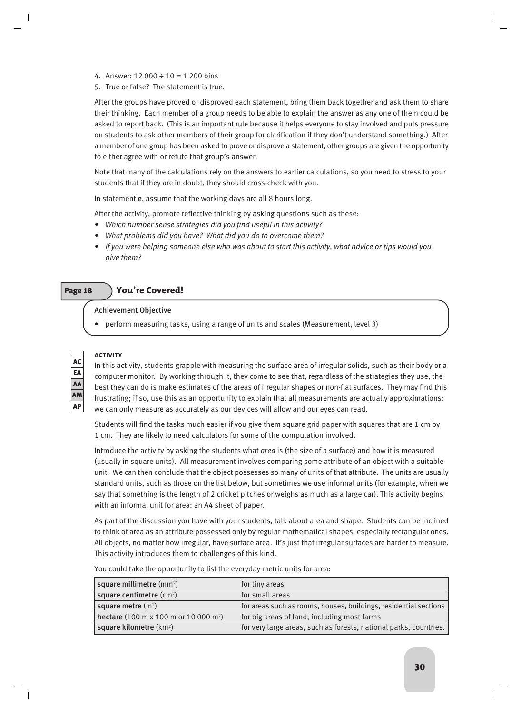- 4. Answer: 12 000  $\div$  10 = 1 200 bins
- 5. True or false? The statement is true.

After the groups have proved or disproved each statement, bring them back together and ask them to share their thinking. Each member of a group needs to be able to explain the answer as any one of them could be asked to report back. (This is an important rule because it helps everyone to stay involved and puts pressure on students to ask other members of their group for clarification if they don't understand something.) After a member of one group has been asked to prove or disprove a statement, other groups are given the opportunity to either agree with or refute that group's answer.

Note that many of the calculations rely on the answers to earlier calculations, so you need to stress to your students that if they are in doubt, they should cross-check with you.

In statement e, assume that the working days are all 8 hours long.

After the activity, promote reflective thinking by asking questions such as these:

- *Which number sense strategies did you find useful in this activity?*
- *What problems did you have? What did you do to overcome them?*
- *If you were helping someone else who was about to start this activity, what advice or tips would you give them?*

# Page 18 **You're Covered!**

# Achievement Objective

• perform measuring tasks, using a range of units and scales (Measurement, level 3)

# AC EA AA AM AP

# **activity**

In this activity, students grapple with measuring the surface area of irregular solids, such as their body or a computer monitor. By working through it, they come to see that, regardless of the strategies they use, the best they can do is make estimates of the areas of irregular shapes or non-flat surfaces. They may find this frustrating; if so, use this as an opportunity to explain that all measurements are actually approximations: we can only measure as accurately as our devices will allow and our eyes can read.

Students will find the tasks much easier if you give them square grid paper with squares that are 1 cm by 1 cm. They are likely to need calculators for some of the computation involved.

Introduce the activity by asking the students what *area* is (the size of a surface) and how it is measured (usually in square units). All measurement involves comparing some attribute of an object with a suitable unit. We can then conclude that the object possesses so many of units of that attribute. The units are usually standard units, such as those on the list below, but sometimes we use informal units (for example, when we say that something is the length of 2 cricket pitches or weighs as much as a large car). This activity begins with an informal unit for area: an A4 sheet of paper.

As part of the discussion you have with your students, talk about area and shape. Students can be inclined to think of area as an attribute possessed only by regular mathematical shapes, especially rectangular ones. All objects, no matter how irregular, have surface area. It's just that irregular surfaces are harder to measure. This activity introduces them to challenges of this kind.

You could take the opportunity to list the everyday metric units for area:

| square millimetre (mm <sup>2</sup> )              | for tiny areas                                                    |
|---------------------------------------------------|-------------------------------------------------------------------|
| square centimetre $(cm2)$                         | for small areas                                                   |
| square metre $(m2)$                               | for areas such as rooms, houses, buildings, residential sections  |
| hectare (100 m x 100 m or 10 000 m <sup>2</sup> ) | for big areas of land, including most farms                       |
| square kilometre (km <sup>2</sup> )               | for very large areas, such as forests, national parks, countries. |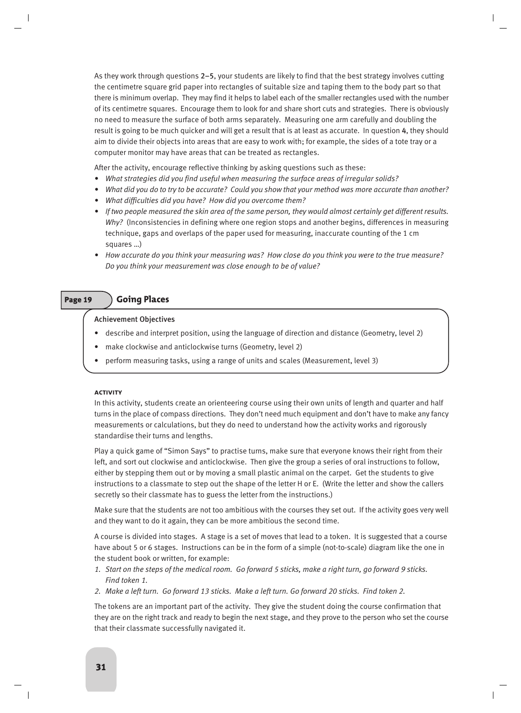As they work through questions 2–5, your students are likely to find that the best strategy involves cutting the centimetre square grid paper into rectangles of suitable size and taping them to the body part so that there is minimum overlap. They may find it helps to label each of the smaller rectangles used with the number of its centimetre squares. Encourage them to look for and share short cuts and strategies. There is obviously no need to measure the surface of both arms separately. Measuring one arm carefully and doubling the result is going to be much quicker and will get a result that is at least as accurate. In question 4, they should aim to divide their objects into areas that are easy to work with; for example, the sides of a tote tray or a computer monitor may have areas that can be treated as rectangles.

After the activity, encourage reflective thinking by asking questions such as these:

- *What strategies did you find useful when measuring the surface areas of irregular solids?*
- *What did you do to try to be accurate? Could you show that your method was more accurate than another?*
- *What difficulties did you have? How did you overcome them?*
- *If two people measured the skin area of the same person, they would almost certainly get different results. Why?* (Inconsistencies in defining where one region stops and another begins, differences in measuring technique, gaps and overlaps of the paper used for measuring, inaccurate counting of the 1 cm squares …)
- *How accurate do you think your measuring was? How close do you think you were to the true measure? Do you think your measurement was close enough to be of value?*

# Page 19 **Going Places**

# Achievement Objectives

- describe and interpret position, using the language of direction and distance (Geometry, level 2)
- make clockwise and anticlockwise turns (Geometry, level 2)
- perform measuring tasks, using a range of units and scales (Measurement, level 3)

### **activity**

In this activity, students create an orienteering course using their own units of length and quarter and half turns in the place of compass directions. They don't need much equipment and don't have to make any fancy measurements or calculations, but they do need to understand how the activity works and rigorously standardise their turns and lengths.

Play a quick game of "Simon Says" to practise turns, make sure that everyone knows their right from their left, and sort out clockwise and anticlockwise. Then give the group a series of oral instructions to follow, either by stepping them out or by moving a small plastic animal on the carpet. Get the students to give instructions to a classmate to step out the shape of the letter H or E. (Write the letter and show the callers secretly so their classmate has to guess the letter from the instructions.)

Make sure that the students are not too ambitious with the courses they set out. If the activity goes very well and they want to do it again, they can be more ambitious the second time.

A course is divided into stages. A stage is a set of moves that lead to a token. It is suggested that a course have about 5 or 6 stages. Instructions can be in the form of a simple (not-to-scale) diagram like the one in the student book or written, for example:

- *1. Start on the steps of the medical room. Go forward 5 sticks, make a right turn, go forward 9 sticks. Find token 1.*
- *2. Make a left turn. Go forward 13 sticks. Make a left turn. Go forward 20 sticks. Find token 2.*

The tokens are an important part of the activity. They give the student doing the course confirmation that they are on the right track and ready to begin the next stage, and they prove to the person who set the course that their classmate successfully navigated it.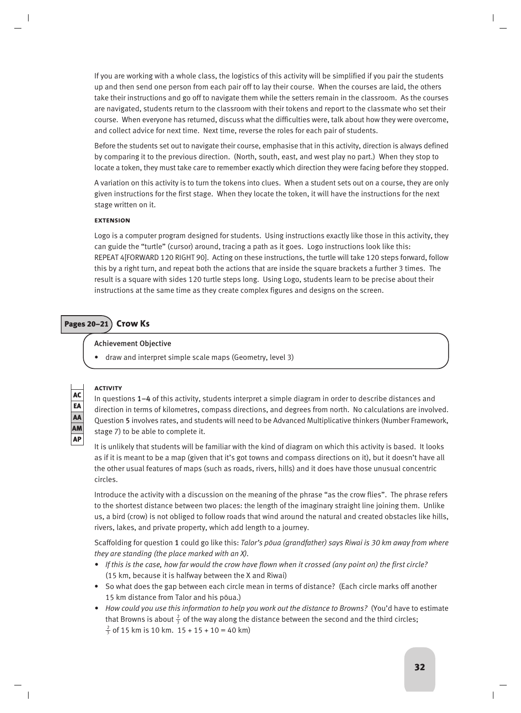If you are working with a whole class, the logistics of this activity will be simplified if you pair the students up and then send one person from each pair off to lay their course. When the courses are laid, the others take their instructions and go off to navigate them while the setters remain in the classroom. As the courses are navigated, students return to the classroom with their tokens and report to the classmate who set their course. When everyone has returned, discuss what the difficulties were, talk about how they were overcome, and collect advice for next time. Next time, reverse the roles for each pair of students.

Before the students set out to navigate their course, emphasise that in this activity, direction is always defined by comparing it to the previous direction. (North, south, east, and west play no part.) When they stop to locate a token, they must take care to remember exactly which direction they were facing before they stopped.

A variation on this activity is to turn the tokens into clues. When a student sets out on a course, they are only given instructions for the first stage. When they locate the token, it will have the instructions for the next stage written on it.

# **extension**

Logo is a computer program designed for students. Using instructions exactly like those in this activity, they can guide the "turtle" (cursor) around, tracing a path as it goes. Logo instructions look like this: REPEAT 4[FORWARD 120 RIGHT 90]. Acting on these instructions, the turtle will take 120 steps forward, follow this by a right turn, and repeat both the actions that are inside the square brackets a further 3 times. The result is a square with sides 120 turtle steps long. Using Logo, students learn to be precise about their instructions at the same time as they create complex figures and designs on the screen.

# Pages 20–21 **Crow Ks**

# Achievement Objective

• draw and interpret simple scale maps (Geometry, level 3)

# AC EA AA AM AP

# **activity**

In questions 1–4 of this activity, students interpret a simple diagram in order to describe distances and direction in terms of kilometres, compass directions, and degrees from north. No calculations are involved. Question 5 involves rates, and students will need to be Advanced Multiplicative thinkers (Number Framework, stage 7) to be able to complete it.

It is unlikely that students will be familiar with the kind of diagram on which this activity is based. It looks as if it is meant to be a map (given that it's got towns and compass directions on it), but it doesn't have all the other usual features of maps (such as roads, rivers, hills) and it does have those unusual concentric circles.

Introduce the activity with a discussion on the meaning of the phrase "as the crow flies". The phrase refers to the shortest distance between two places: the length of the imaginary straight line joining them. Unlike us, a bird (crow) is not obliged to follow roads that wind around the natural and created obstacles like hills, rivers, lakes, and private property, which add length to a journey.

Scaffolding for question 1 could go like this: *Talor's pòua (grandfather) says Riwai is 30 km away from where they are standing (the place marked with an X).*

- *If this is the case, how far would the crow have flown when it crossed (any point on) the first circle?* (15 km, because it is halfway between the X and Riwai)
- So what does the gap between each circle mean in terms of distance? (Each circle marks off another 15 km distance from Talor and his pòua.)
- *How could you use this information to help you work out the distance to Browns?* (You'd have to estimate that Browns is about  $\frac{2}{3}$  of the way along the distance between the second and the third circles;  $\frac{2}{3}$  of 15 km is 10 km. 15 + 15 + 10 = 40 km)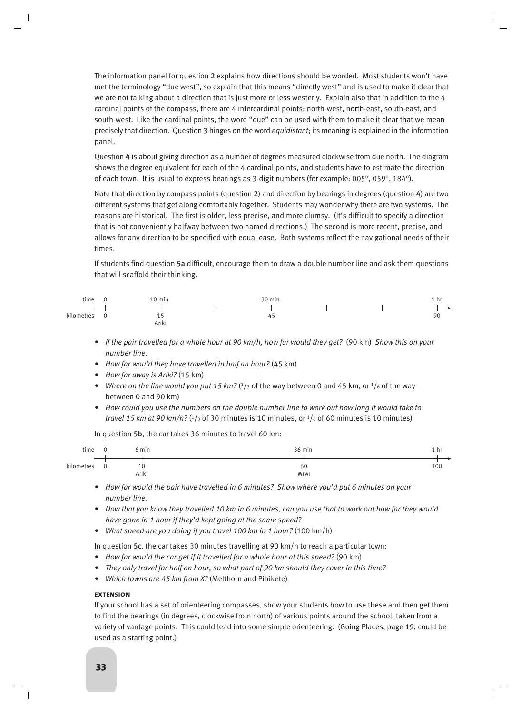The information panel for question 2 explains how directions should be worded. Most students won't have met the terminology "due west", so explain that this means "directly west" and is used to make it clear that we are not talking about a direction that is just more or less westerly. Explain also that in addition to the 4 cardinal points of the compass, there are 4 intercardinal points: north-west, north-east, south-east, and south-west. Like the cardinal points, the word "due" can be used with them to make it clear that we mean precisely that direction. Question 3 hinges on the word *equidistant*; its meaning is explained in the information panel.

Question 4 is about giving direction as a number of degrees measured clockwise from due north. The diagram shows the degree equivalent for each of the 4 cardinal points, and students have to estimate the direction of each town. It is usual to express bearings as 3-digit numbers (for example: 005°, 059°, 184°).

Note that direction by compass points (question 2) and direction by bearings in degrees (question 4) are two different systems that get along comfortably together. Students may wonder why there are two systems. The reasons are historical. The first is older, less precise, and more clumsy. (It's difficult to specify a direction that is not conveniently halfway between two named directions.) The second is more recent, precise, and allows for any direction to be specified with equal ease. Both systems reflect the navigational needs of their times.

If students find question 5a difficult, encourage them to draw a double number line and ask them questions that will scaffold their thinking.



- *If the pair travelled for a whole hour at 90 km/h, how far would they get?* (90 km) *Show this on your number line.*
- *How far would they have travelled in half an hour?* (45 km)
- *How far away is Ariki?* (15 km)
- Where on the line would you put 15 km?  $(1/3)$  of the way between 0 and 45 km, or  $1/6$  of the way between 0 and 90 km)
- *How could you use the numbers on the double number line to work out how long it would take to travel 15 km at 90 km/h?* ( $\frac{1}{3}$  of 30 minutes is 10 minutes, or  $\frac{1}{6}$  of 60 minutes is 10 minutes)

In question 5b, the car takes 36 minutes to travel 60 km:

| time       |   | 6 min       | 36 min<br>1 hr    |  |
|------------|---|-------------|-------------------|--|
| kilometres | 0 | 10<br>Ariki | 100<br>60<br>Wīwī |  |

- *How far would the pair have travelled in 6 minutes? Show where you'd put 6 minutes on your number line.*
- *Now that you know they travelled 10 km in 6 minutes, can you use that to work out how far they would have gone in 1 hour if they'd kept going at the same speed?*
- *What speed are you doing if you travel 100 km in 1 hour?* (100 km/h)

In question 5c, the car takes 30 minutes travelling at 90 km/h to reach a particular town:

- *How far would the car get if it travelled for a whole hour at this speed?* (90 km)
- *They only travel for half an hour, so what part of 90 km should they cover in this time?*
- *Which towns are 45 km from X?* (Melthorn and Pihikete)

# **extension**

If your school has a set of orienteering compasses, show your students how to use these and then get them to find the bearings (in degrees, clockwise from north) of various points around the school, taken from a variety of vantage points. This could lead into some simple orienteering. (Going Places, page 19, could be used as a starting point.)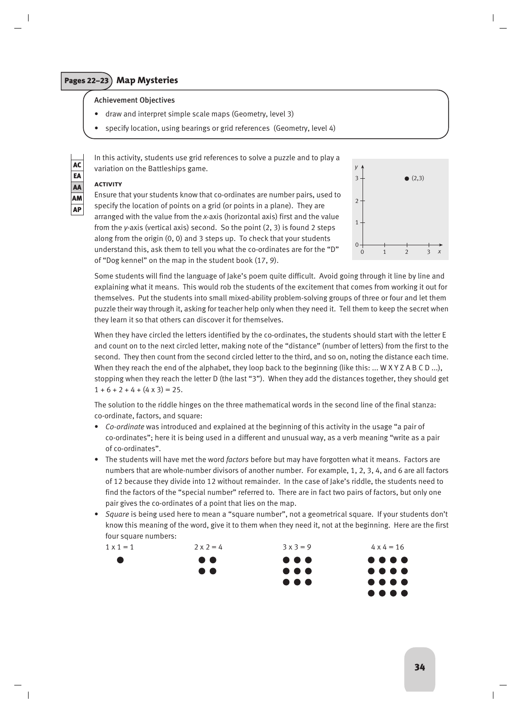# Pages 22–23 **Map Mysteries**

# Achievement Objectives

- draw and interpret simple scale maps (Geometry, level 3)
- specify location, using bearings or grid references (Geometry, level 4)

In this activity, students use grid references to solve a puzzle and to play a variation on the Battleships game. AC *y*

# **activity**

EA AA AM AP



Ensure that your students know that co-ordinates are number pairs, used to specify the location of points on a grid (or points in a plane). They are arranged with the value from the *x*-axis (horizontal axis) first and the value from the *y*-axis (vertical axis) second. So the point (2, 3) is found 2 steps along from the origin (0, 0) and 3 steps up. To check that your students understand this, ask them to tell you what the co-ordinates are for the "D" of "Dog kennel" on the map in the student book (17, 9).

Some students will find the language of Jake's poem quite difficult. Avoid going through it line by line and explaining what it means. This would rob the students of the excitement that comes from working it out for themselves. Put the students into small mixed-ability problem-solving groups of three or four and let them puzzle their way through it, asking for teacher help only when they need it. Tell them to keep the secret when they learn it so that others can discover it for themselves.

When they have circled the letters identified by the co-ordinates, the students should start with the letter E and count on to the next circled letter, making note of the "distance" (number of letters) from the first to the second. They then count from the second circled letter to the third, and so on, noting the distance each time. When they reach the end of the alphabet, they loop back to the beginning (like this: ... W X Y Z A B C D ...), stopping when they reach the letter D (the last "3"). When they add the distances together, they should get  $1 + 6 + 2 + 4 + (4 \times 3) = 25.$ 

The solution to the riddle hinges on the three mathematical words in the second line of the final stanza: co-ordinate, factors, and square:

- *Co-ordinate* was introduced and explained at the beginning of this activity in the usage "a pair of co-ordinates"; here it is being used in a different and unusual way, as a verb meaning "write as a pair of co-ordinates".
- The students will have met the word *factors* before but may have forgotten what it means. Factors are numbers that are whole-number divisors of another number. For example, 1, 2, 3, 4, and 6 are all factors of 12 because they divide into 12 without remainder. In the case of Jake's riddle, the students need to find the factors of the "special number" referred to. There are in fact two pairs of factors, but only one pair gives the co-ordinates of a point that lies on the map.
- *Square* is being used here to mean a "square number", not a geometrical square. If your students don't know this meaning of the word, give it to them when they need it, not at the beginning. Here are the first four square numbers:

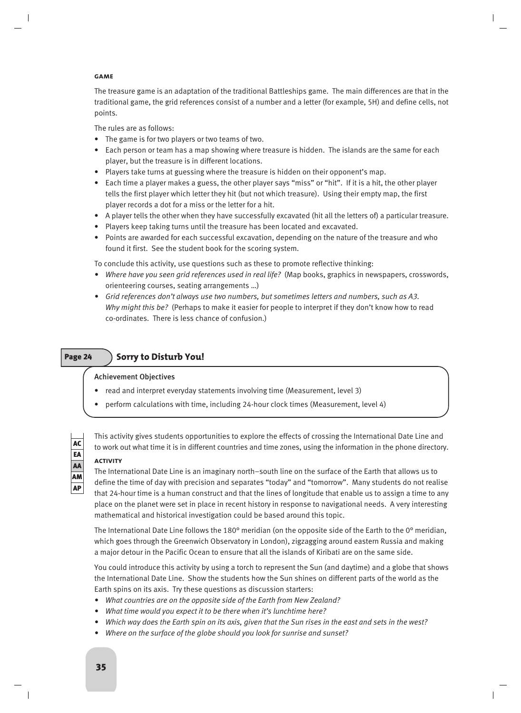# **game**

The treasure game is an adaptation of the traditional Battleships game. The main differences are that in the traditional game, the grid references consist of a number and a letter (for example, 5H) and define cells, not points.

The rules are as follows:

- The game is for two players or two teams of two.
- Each person or team has a map showing where treasure is hidden. The islands are the same for each player, but the treasure is in different locations.
- Players take turns at guessing where the treasure is hidden on their opponent's map.
- Each time a player makes a guess, the other player says "miss" or "hit". If it is a hit, the other player tells the first player which letter they hit (but not which treasure). Using their empty map, the first player records a dot for a miss or the letter for a hit.
- A player tells the other when they have successfully excavated (hit all the letters of) a particular treasure.
- Players keep taking turns until the treasure has been located and excavated.
- Points are awarded for each successful excavation, depending on the nature of the treasure and who found it first. See the student book for the scoring system.

To conclude this activity, use questions such as these to promote reflective thinking:

- *Where have you seen grid references used in real life?* (Map books, graphics in newspapers, crosswords, orienteering courses, seating arrangements …)
- *Grid references don't always use two numbers, but sometimes letters and numbers, such as A3. Why might this be?* (Perhaps to make it easier for people to interpret if they don't know how to read co-ordinates. There is less chance of confusion.)

# Page 24 > Sorry to Disturb You!

# Achievement Objectives

- read and interpret everyday statements involving time (Measurement, level 3)
- perform calculations with time, including 24-hour clock times (Measurement, level 4)



This activity gives students opportunities to explore the effects of crossing the International Date Line and to work out what time it is in different countries and time zones, using the information in the phone directory.

### **activity**

The International Date Line is an imaginary north–south line on the surface of the Earth that allows us to define the time of day with precision and separates "today" and "tomorrow". Many students do not realise that 24-hour time is a human construct and that the lines of longitude that enable us to assign a time to any place on the planet were set in place in recent history in response to navigational needs. A very interesting mathematical and historical investigation could be based around this topic.

The International Date Line follows the 180° meridian (on the opposite side of the Earth to the 0° meridian, which goes through the Greenwich Observatory in London), zigzagging around eastern Russia and making a major detour in the Pacific Ocean to ensure that all the islands of Kiribati are on the same side.

You could introduce this activity by using a torch to represent the Sun (and daytime) and a globe that shows the International Date Line. Show the students how the Sun shines on different parts of the world as the Earth spins on its axis. Try these questions as discussion starters:

- *What countries are on the opposite side of the Earth from New Zealand?*
- *What time would you expect it to be there when it's lunchtime here?*
- *Which way does the Earth spin on its axis, given that the Sun rises in the east and sets in the west?*
- *Where on the surface of the globe should you look for sunrise and sunset?*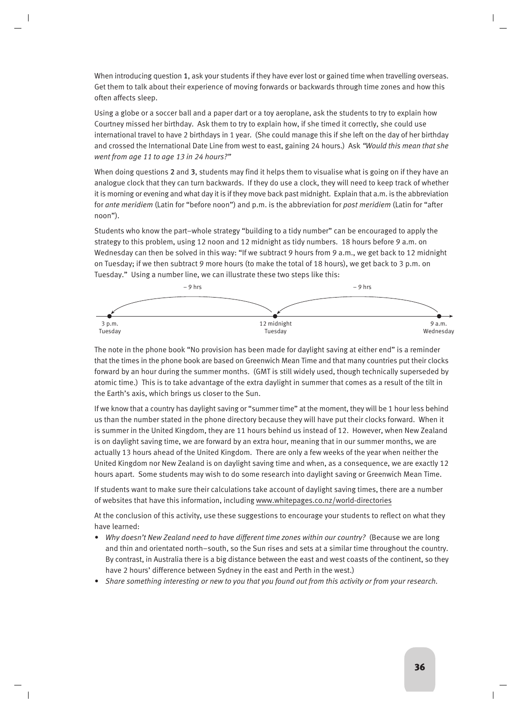When introducing question 1, ask your students if they have ever lost or gained time when travelling overseas. Get them to talk about their experience of moving forwards or backwards through time zones and how this often affects sleep.

Using a globe or a soccer ball and a paper dart or a toy aeroplane, ask the students to try to explain how Courtney missed her birthday. Ask them to try to explain how, if she timed it correctly, she could use international travel to have 2 birthdays in 1 year. (She could manage this if she left on the day of her birthday and crossed the International Date Line from west to east, gaining 24 hours.) Ask *"Would this mean that she went from age 11 to age 13 in 24 hours?"*

When doing questions 2 and 3, students may find it helps them to visualise what is going on if they have an analogue clock that they can turn backwards. If they do use a clock, they will need to keep track of whether it is morning or evening and what day it is if they move back past midnight. Explain that a.m. is the abbreviation for *ante meridiem* (Latin for "before noon") and p.m. is the abbreviation for *post meridiem* (Latin for "after noon").

Students who know the part–whole strategy "building to a tidy number" can be encouraged to apply the strategy to this problem, using 12 noon and 12 midnight as tidy numbers. 18 hours before 9 a.m. on Wednesday can then be solved in this way: "If we subtract 9 hours from 9 a.m., we get back to 12 midnight on Tuesday; if we then subtract 9 more hours (to make the total of 18 hours), we get back to 3 p.m. on Tuesday." Using a number line, we can illustrate these two steps like this:



The note in the phone book "No provision has been made for daylight saving at either end" is a reminder that the times in the phone book are based on Greenwich Mean Time and that many countries put their clocks forward by an hour during the summer months. (GMT is still widely used, though technically superseded by atomic time.) This is to take advantage of the extra daylight in summer that comes as a result of the tilt in the Earth's axis, which brings us closer to the Sun.

If we know that a country has daylight saving or "summer time" at the moment, they will be 1 hour less behind us than the number stated in the phone directory because they will have put their clocks forward. When it is summer in the United Kingdom, they are 11 hours behind us instead of 12. However, when New Zealand is on daylight saving time, we are forward by an extra hour, meaning that in our summer months, we are actually 13 hours ahead of the United Kingdom. There are only a few weeks of the year when neither the United Kingdom nor New Zealand is on daylight saving time and when, as a consequence, we are exactly 12 hours apart. Some students may wish to do some research into daylight saving or Greenwich Mean Time.

If students want to make sure their calculations take account of daylight saving times, there are a number of websites that have this information, including www.whitepages.co.nz/world-directories

At the conclusion of this activity, use these suggestions to encourage your students to reflect on what they have learned:

- *Why doesn't New Zealand need to have different time zones within our country?* (Because we are long and thin and orientated north–south, so the Sun rises and sets at a similar time throughout the country. By contrast, in Australia there is a big distance between the east and west coasts of the continent, so they have 2 hours' difference between Sydney in the east and Perth in the west.)
- *Share something interesting or new to you that you found out from this activity or from your research.*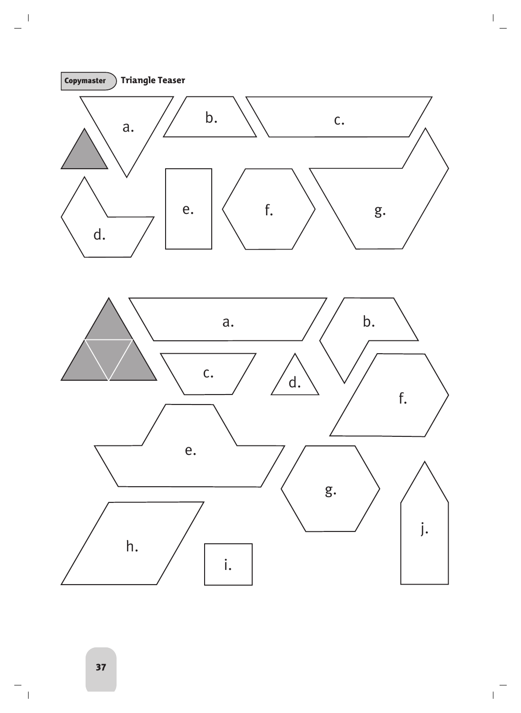<span id="page-36-0"></span>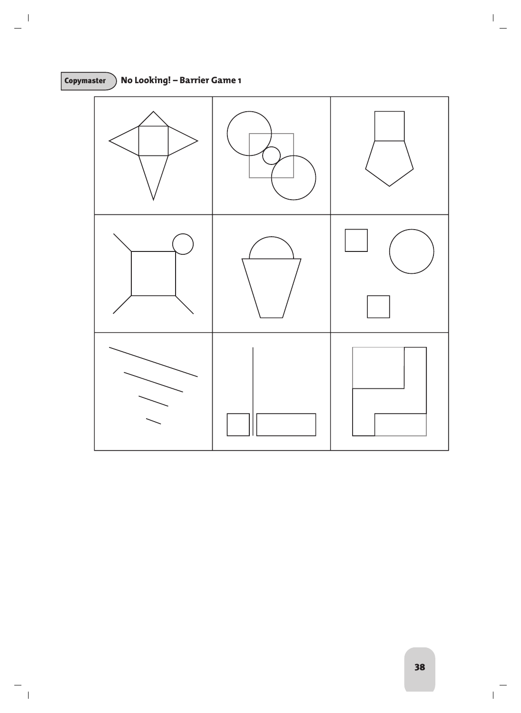# Copymaster **No Looking! – Barrier Game 1**

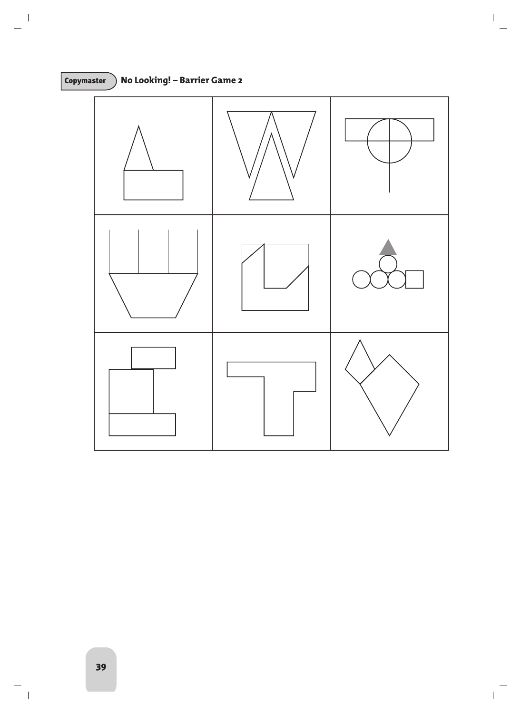

# Copymaster **No Looking! – Barrier Game 2**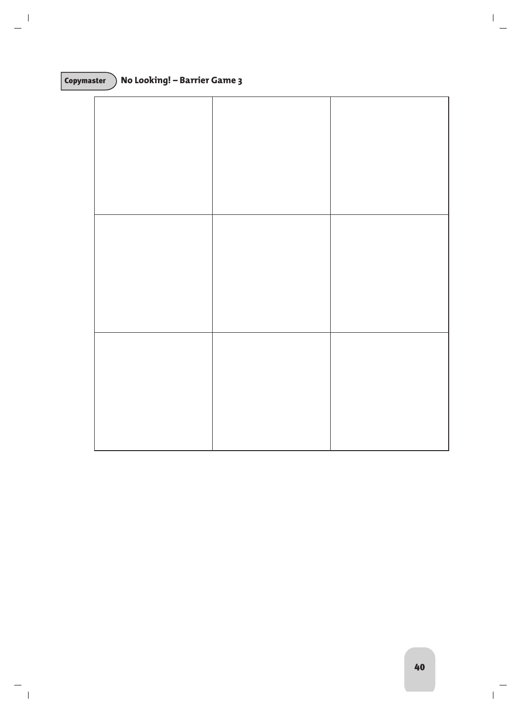# Copymaster **No Looking! – Barrier Game 3**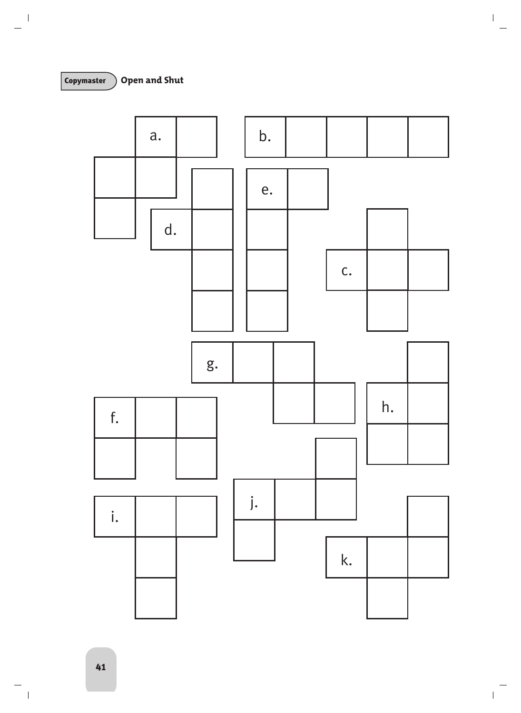Copymaster **Open and Shut**

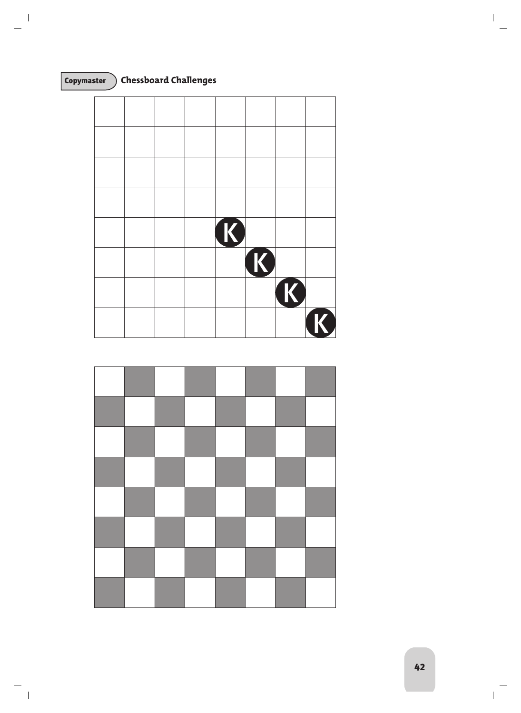

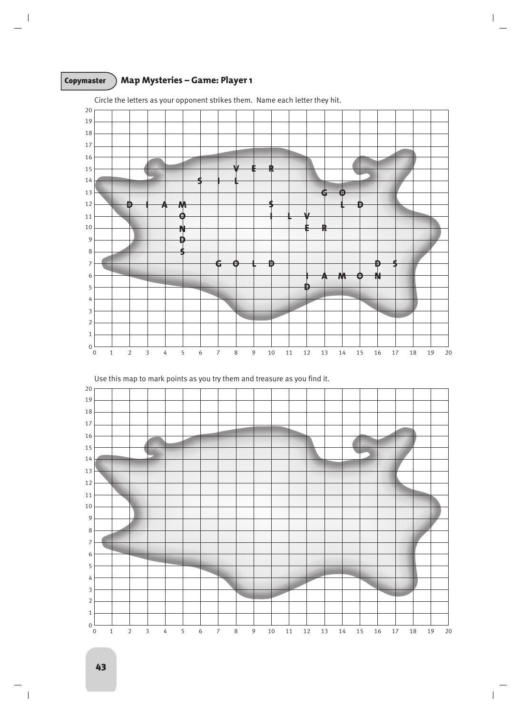# Copymaster **Map Mysteries – Game: Player 1**



Circle the letters as your opponent strikes them. Name each letter they hit.

Use this map to mark points as you try them and treasure as you find it.

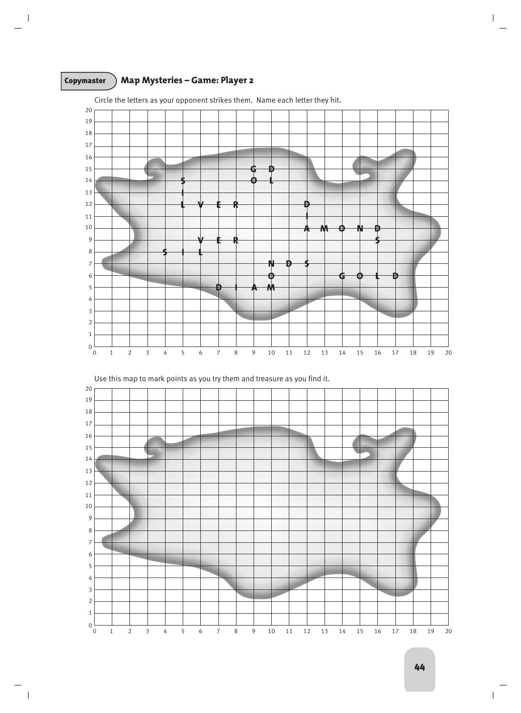# Copymaster **Map Mysteries – Game: Player 2**



Circle the letters as your opponent strikes them. Name each letter they hit.

Use this map to mark points as you try them and treasure as you find it.